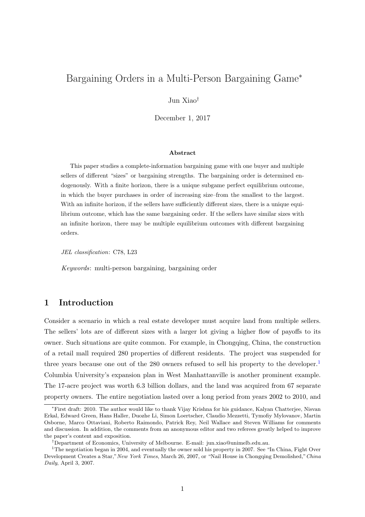# Bargaining Orders in a Multi-Person Bargaining Game<sup>∗</sup>

Jun Xiao†

December 1, 2017

#### Abstract

This paper studies a complete-information bargaining game with one buyer and multiple sellers of different "sizes" or bargaining strengths. The bargaining order is determined endogenously. With a finite horizon, there is a unique subgame perfect equilibrium outcome, in which the buyer purchases in order of increasing size–from the smallest to the largest. With an infinite horizon, if the sellers have sufficiently different sizes, there is a unique equilibrium outcome, which has the same bargaining order. If the sellers have similar sizes with an infinite horizon, there may be multiple equilibrium outcomes with different bargaining orders.

JEL classification: C78, L23

Keywords: multi-person bargaining, bargaining order

# 1 Introduction

Consider a scenario in which a real estate developer must acquire land from multiple sellers. The sellers' lots are of different sizes with a larger lot giving a higher flow of payoffs to its owner. Such situations are quite common. For example, in Chongqing, China, the construction of a retail mall required 280 properties of different residents. The project was suspended for three years because one out of the 280 owners refused to sell his property to the developer.<sup>[1](#page-0-0)</sup> Columbia University's expansion plan in West Manhattanville is another prominent example. The 17-acre project was worth 6.3 billion dollars, and the land was acquired from 67 separate property owners. The entire negotiation lasted over a long period from years 2002 to 2010, and

<sup>∗</sup>First draft: 2010. The author would like to thank Vijay Krishna for his guidance, Kalyan Chatterjee, Nisvan Erkal, Edward Green, Hans Haller, Duozhe Li, Simon Loertscher, Claudio Mezzetti, Tymofiy Mylovanov, Martin Osborne, Marco Ottaviani, Roberto Raimondo, Patrick Rey, Neil Wallace and Steven Williams for comments and discussion. In addition, the comments from an anonymous editor and two referees greatly helped to improve the paper's content and exposition.

<span id="page-0-0"></span><sup>†</sup>Department of Economics, University of Melbourne. E-mail: jun.xiao@unimelb.edu.au.

<sup>&</sup>lt;sup>1</sup>The negotiation began in 2004, and eventually the owner sold his property in 2007. See "In China, Fight Over Development Creates a Star," New York Times, March 26, 2007, or "Nail House in Chongqing Demolished," China Daily, April 3, 2007.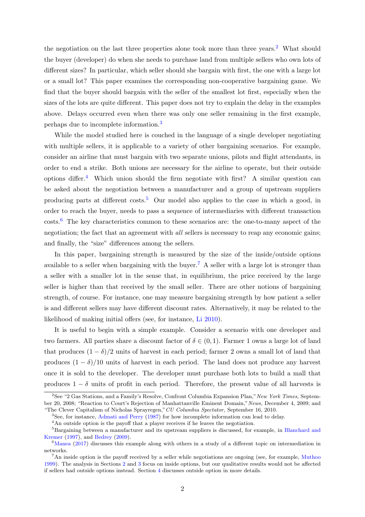the negotiation on the last three properties alone took more than three years.<sup>[2](#page-1-0)</sup> What should the buyer (developer) do when she needs to purchase land from multiple sellers who own lots of different sizes? In particular, which seller should she bargain with first, the one with a large lot or a small lot? This paper examines the corresponding non-cooperative bargaining game. We find that the buyer should bargain with the seller of the smallest lot first, especially when the sizes of the lots are quite different. This paper does not try to explain the delay in the examples above. Delays occurred even when there was only one seller remaining in the first example, perhaps due to incomplete information.[3](#page-1-1)

While the model studied here is couched in the language of a single developer negotiating with multiple sellers, it is applicable to a variety of other bargaining scenarios. For example, consider an airline that must bargain with two separate unions, pilots and flight attendants, in order to end a strike. Both unions are necessary for the airline to operate, but their outside options differ.[4](#page-1-2) Which union should the firm negotiate with first? A similar question can be asked about the negotiation between a manufacturer and a group of upstream suppliers producing parts at different costs.<sup>[5](#page-1-3)</sup> Our model also applies to the case in which a good, in order to reach the buyer, needs to pass a sequence of intermediaries with different transaction costs.[6](#page-1-4) The key characteristics common to these scenarios are: the one-to-many aspect of the negotiation; the fact that an agreement with *all* sellers is necessary to reap any economic gains; and finally, the "size" differences among the sellers.

In this paper, bargaining strength is measured by the size of the inside/outside options available to a seller when bargaining with the buyer.<sup>[7](#page-1-5)</sup> A seller with a large lot is stronger than a seller with a smaller lot in the sense that, in equilibrium, the price received by the large seller is higher than that received by the small seller. There are other notions of bargaining strength, of course. For instance, one may measure bargaining strength by how patient a seller is and different sellers may have different discount rates. Alternatively, it may be related to the likelihood of making initial offers (see, for instance, [Li](#page-22-0) [2010\)](#page-22-0).

It is useful to begin with a simple example. Consider a scenario with one developer and two farmers. All parties share a discount factor of  $\delta \in (0,1)$ . Farmer 1 owns a large lot of land that produces  $(1 - \delta)/2$  units of harvest in each period; farmer 2 owns a small lot of land that produces  $(1 - \delta)/10$  units of harvest in each period. The land does not produce any harvest once it is sold to the developer. The developer must purchase both lots to build a mall that produces  $1 - \delta$  units of profit in each period. Therefore, the present value of all harvests is

<span id="page-1-0"></span><sup>&</sup>lt;sup>2</sup>See "2 Gas Stations, and a Family's Resolve, Confront Columbia Expansion Plan," New York Times, September 20, 2008; "Reaction to Court's Rejection of Manhattanville Eminent Domain,"News, December 4, 2009; and "The Clever Capitalism of Nicholas Sprayregen,"CU Columbia Spectator, September 16, 2010.

<span id="page-1-1"></span><sup>3</sup>See, for instance, [Admati and Perry](#page-21-0) [\(1987\)](#page-21-0) for how incomplete information can lead to delay.

<span id="page-1-3"></span><span id="page-1-2"></span> ${}^{4}\mathrm{An}$  outside option is the payoff that a player receives if he leaves the negotiation.

<sup>5</sup>Bargaining between a manufacturer and its upstream suppliers is discussed, for example, in [Blanchard and](#page-21-1) [Kremer](#page-21-1) [\(1997\)](#page-21-1), and [Bedrey](#page-21-2) [\(2009\)](#page-21-2).

<span id="page-1-4"></span> $6$ [Manea](#page-22-1) [\(2017\)](#page-22-1) discusses this example along with others in a study of a different topic on intermediation in networks.

<span id="page-1-5"></span><sup>&</sup>lt;sup>7</sup>An inside option is the payoff received by a seller while negotiations are ongoing (see, for example, [Muthoo](#page-22-2) [1999\)](#page-22-2). The analysis in Sections [2](#page-3-0) and [3](#page-8-0) focus on inside options, but our qualitative results would not be affected if sellers had outside options instead. Section [4](#page-18-0) discusses outside option in more details.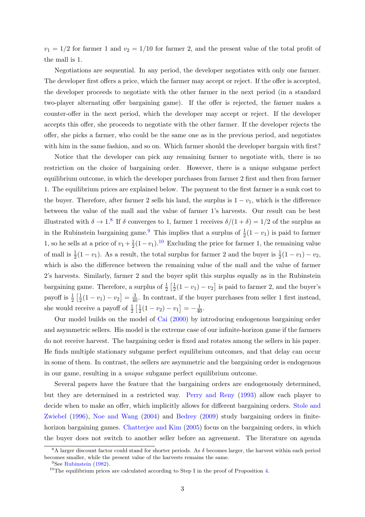$v_1 = 1/2$  for farmer 1 and  $v_2 = 1/10$  for farmer 2, and the present value of the total profit of the mall is 1.

Negotiations are sequential. In any period, the developer negotiates with only one farmer. The developer first offers a price, which the farmer may accept or reject. If the offer is accepted, the developer proceeds to negotiate with the other farmer in the next period (in a standard two-player alternating offer bargaining game). If the offer is rejected, the farmer makes a counter-offer in the next period, which the developer may accept or reject. If the developer accepts this offer, she proceeds to negotiate with the other farmer. If the developer rejects the offer, she picks a farmer, who could be the same one as in the previous period, and negotiates with him in the same fashion, and so on. Which farmer should the developer bargain with first?

Notice that the developer can pick any remaining farmer to negotiate with, there is no restriction on the choice of bargaining order. However, there is a unique subgame perfect equilibrium outcome, in which the developer purchases from farmer 2 first and then from farmer 1. The equilibrium prices are explained below. The payment to the first farmer is a sunk cost to the buyer. Therefore, after farmer 2 sells his land, the surplus is  $1 - v_1$ , which is the difference between the value of the mall and the value of farmer 1's harvests. Our result can be best illustrated with  $\delta \to 1.8$  $\delta \to 1.8$  If  $\delta$  converges to 1, farmer 1 receives  $\delta/(1+\delta) = 1/2$  of the surplus as in the Rubinstein bargaining game.<sup>[9](#page-2-1)</sup> This implies that a surplus of  $\frac{1}{2}(1-v_1)$  is paid to farmer 1, so he sells at a price of  $v_1 + \frac{1}{2}$  $\frac{1}{2}(1-v_1).^{10}$  $\frac{1}{2}(1-v_1).^{10}$  $\frac{1}{2}(1-v_1).^{10}$  Excluding the price for farmer 1, the remaining value of mall is  $\frac{1}{2}(1-v_1)$ . As a result, the total surplus for farmer 2 and the buyer is  $\frac{1}{2}(1-v_1)-v_2$ , which is also the difference between the remaining value of the mall and the value of farmer 2's harvests. Similarly, farmer 2 and the buyer split this surplus equally as in the Rubinstein bargaining game. Therefore, a surplus of  $\frac{1}{2} \left[ \frac{1}{2} \right]$  $\frac{1}{2}(1 - v_1) - v_2$  is paid to farmer 2, and the buyer's payoff is  $\frac{1}{2} \left[ \frac{1}{2} \right]$  $\frac{1}{2}(1-v_1)-v_2=\frac{3}{40}$ . In contrast, if the buyer purchases from seller 1 first instead, she would receive a payoff of  $\frac{1}{2} \left[ \frac{1}{2} \right]$  $\frac{1}{2}(1-v_2)-v_1\big] = -\frac{1}{40}.$ 

Our model builds on the model of [Cai](#page-21-3) [\(2000\)](#page-21-3) by introducing endogenous bargaining order and asymmetric sellers. His model is the extreme case of our infinite-horizon game if the farmers do not receive harvest. The bargaining order is fixed and rotates among the sellers in his paper. He finds multiple stationary subgame perfect equilibrium outcomes, and that delay can occur in some of them. In contrast, the sellers are asymmetric and the bargaining order is endogenous in our game, resulting in a unique subgame perfect equilibrium outcome.

Several papers have the feature that the bargaining orders are endogenously determined, but they are determined in a restricted way. [Perry and Reny](#page-22-3) [\(1993\)](#page-22-3) allow each player to decide when to make an offer, which implicitly allows for different bargaining orders. [Stole and](#page-22-4) [Zwiebel](#page-22-4) [\(1996\)](#page-22-4), [Noe and Wang](#page-22-5) [\(2004\)](#page-22-5) and [Bedrey](#page-21-2) [\(2009\)](#page-21-2) study bargaining orders in finite-horizon bargaining games. [Chatterjee and Kim](#page-21-4)  $(2005)$  focus on the bargaining orders, in which the buyer does not switch to another seller before an agreement. The literature on agenda

<span id="page-2-0"></span><sup>&</sup>lt;sup>8</sup>A larger discount factor could stand for shorter periods. As  $\delta$  becomes larger, the harvest within each period becomes smaller, while the present value of the harvests remains the same.

<span id="page-2-1"></span><sup>&</sup>lt;sup>9</sup>See [Rubinstein](#page-22-6) [\(1982\)](#page-22-6).

<span id="page-2-2"></span> $10$ The equilibrium prices are calculated according to Step I in the proof of Proposition [4.](#page-11-0)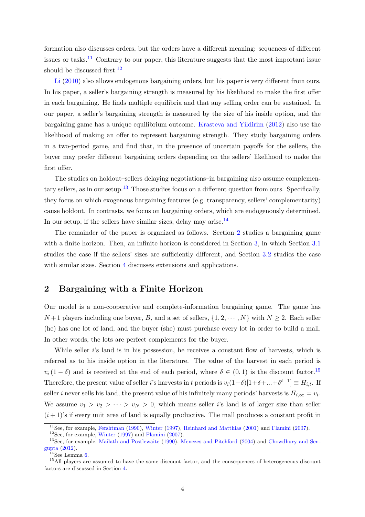formation also discusses orders, but the orders have a different meaning: sequences of different issues or tasks.<sup>[11](#page-3-1)</sup> Contrary to our paper, this literature suggests that the most important issue should be discussed first.<sup>[12](#page-3-2)</sup>

[Li](#page-22-0) [\(2010\)](#page-22-0) also allows endogenous bargaining orders, but his paper is very different from ours. In his paper, a seller's bargaining strength is measured by his likelihood to make the first offer in each bargaining. He finds multiple equilibria and that any selling order can be sustained. In our paper, a seller's bargaining strength is measured by the size of his inside option, and the bargaining game has a unique equilibrium outcome. [Krasteva and Yildirim](#page-21-5) [\(2012\)](#page-21-5) also use the likelihood of making an offer to represent bargaining strength. They study bargaining orders in a two-period game, and find that, in the presence of uncertain payoffs for the sellers, the buyer may prefer different bargaining orders depending on the sellers' likelihood to make the first offer.

The studies on holdout–sellers delaying negotiations–in bargaining also assume complemen-tary sellers, as in our setup.<sup>[13](#page-3-3)</sup> Those studies focus on a different question from ours. Specifically, they focus on which exogenous bargaining features (e.g. transparency, sellers' complementarity) cause holdout. In contrasts, we focus on bargaining orders, which are endogenously determined. In our setup, if the sellers have similar sizes, delay may arise. $^{14}$  $^{14}$  $^{14}$ 

The remainder of the paper is organized as follows. Section [2](#page-3-0) studies a bargaining game with a finite horizon. Then, an infinite horizon is considered in Section [3,](#page-8-0) in which Section [3.1](#page-9-0) studies the case if the sellers' sizes are sufficiently different, and Section [3.2](#page-16-0) studies the case with similar sizes. Section [4](#page-18-0) discusses extensions and applications.

### <span id="page-3-0"></span>2 Bargaining with a Finite Horizon

Our model is a non-cooperative and complete-information bargaining game. The game has  $N+1$  players including one buyer, B, and a set of sellers,  $\{1, 2, \cdots, N\}$  with  $N \geq 2$ . Each seller (he) has one lot of land, and the buyer (she) must purchase every lot in order to build a mall. In other words, the lots are perfect complements for the buyer.

While seller is land is in his possession, he receives a constant flow of harvests, which is referred as to his inside option in the literature. The value of the harvest in each period is  $v_i (1 - \delta)$  and is received at the end of each period, where  $\delta \in (0, 1)$  is the discount factor.<sup>[15](#page-3-5)</sup> Therefore, the present value of seller *i*'s harvests in t periods is  $v_i(1-\delta)[1+\delta+\ldots+\delta^{t-1}] \equiv H_{i,t}$ . If seller *i* never sells his land, the present value of his infinitely many periods' harvests is  $H_{i,\infty} = v_i$ . We assume  $v_1 > v_2 > \cdots > v_N > 0$ , which means seller is and is of larger size than seller  $(i+1)$ 's if every unit area of land is equally productive. The mall produces a constant profit in

<span id="page-3-1"></span><sup>11</sup>See, for example, [Fershtman](#page-21-6) [\(1990\)](#page-21-6), [Winter](#page-22-7) [\(1997\)](#page-22-7), [Reinhard and Matthias](#page-22-8) [\(2001\)](#page-22-8) and [Flamini](#page-21-7) [\(2007\)](#page-21-7).

<span id="page-3-3"></span><span id="page-3-2"></span> $12$ See, for example, [Winter](#page-22-7) [\(1997\)](#page-22-7) and [Flamini](#page-21-7) [\(2007\)](#page-21-7).

<sup>&</sup>lt;sup>13</sup>See, for example, [Mailath and Postlewaite](#page-22-9) [\(1990\)](#page-22-9), [Menezes and Pitchford](#page-22-10) [\(2004\)](#page-22-10) and [Chowdhury and Sen](#page-21-8)[gupta](#page-21-8) [\(2012\)](#page-21-8).

<span id="page-3-5"></span><span id="page-3-4"></span> $14$ See Lemma [6.](#page-17-0)

<sup>&</sup>lt;sup>15</sup>All players are assumed to have the same discount factor, and the consequences of heterogeneous discount factors are discussed in Section [4.](#page-18-0)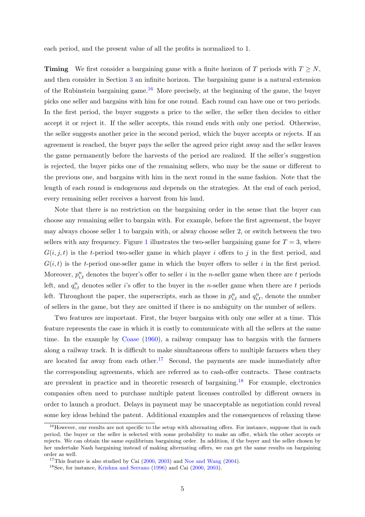each period, and the present value of all the profits is normalized to 1.

**Timing** We first consider a bargaining game with a finite horizon of T periods with  $T \geq N$ , and then consider in Section [3](#page-8-0) an infinite horizon. The bargaining game is a natural extension of the Rubinstein bargaining game.<sup>[16](#page-4-0)</sup> More precisely, at the beginning of the game, the buyer picks one seller and bargains with him for one round. Each round can have one or two periods. In the first period, the buyer suggests a price to the seller, the seller then decides to either accept it or reject it. If the seller accepts, this round ends with only one period. Otherwise, the seller suggests another price in the second period, which the buyer accepts or rejects. If an agreement is reached, the buyer pays the seller the agreed price right away and the seller leaves the game permanently before the harvests of the period are realized. If the seller's suggestion is rejected, the buyer picks one of the remaining sellers, who may be the same or different to the previous one, and bargains with him in the next round in the same fashion. Note that the length of each round is endogenous and depends on the strategies. At the end of each period, every remaining seller receives a harvest from his land.

Note that there is no restriction on the bargaining order in the sense that the buyer can choose any remaining seller to bargain with. For example, before the first agreement, the buyer may always choose seller 1 to bargain with, or alway choose seller 2, or switch between the two sellers with any frequency. Figure [1](#page-5-0) illustrates the two-seller bargaining game for  $T = 3$ , where  $G(i, j, t)$  is the t-period two-seller game in which player i offers to j in the first period, and  $G(i, t)$  is the t-period one-seller game in which the buyer offers to seller i in the first period. Moreover,  $p_{i,t}^n$  denotes the buyer's offer to seller i in the n-seller game when there are t periods left, and  $q_{i,t}^n$  denotes seller is offer to the buyer in the n-seller game when there are t periods left. Throughout the paper, the superscripts, such as those in  $p_{i,t}^n$  and  $q_{i,t}^n$ , denote the number of sellers in the game, but they are omitted if there is no ambiguity on the number of sellers.

Two features are important. First, the buyer bargains with only one seller at a time. This feature represents the case in which it is costly to communicate with all the sellers at the same time. In the example by [Coase](#page-21-9) [\(1960\)](#page-21-9), a railway company has to bargain with the farmers along a railway track. It is difficult to make simultaneous offers to multiple farmers when they are located far away from each other.<sup>[17](#page-4-1)</sup> Second, the payments are made immediately after the corresponding agreements, which are referred as to cash-offer contracts. These contracts are prevalent in practice and in theoretic research of bargaining.<sup>[18](#page-4-2)</sup> For example, electronics companies often need to purchase multiple patent licenses controlled by different owners in order to launch a product. Delays in payment may be unacceptable as negotiation could reveal some key ideas behind the patent. Additional examples and the consequences of relaxing these

<span id="page-4-0"></span> $16$ However, our results are not specific to the setup with alternating offers. For instance, suppose that in each period, the buyer or the seller is selected with some probability to make an offer, which the other accepts or rejects. We can obtain the same equilibrium bargaining order. In addition, if the buyer and the seller chosen by her undertake Nash bargaining instead of making alternating offers, we can get the same results on bargaining order as well.

<span id="page-4-1"></span> $17$ This feature is also studied by Cai [\(2000,](#page-21-3) [2003\)](#page-21-10) and [Noe and Wang](#page-22-5) [\(2004\)](#page-22-5).

<span id="page-4-2"></span><sup>18</sup>See, for instance, [Krishna and Serrano](#page-22-11) [\(1996\)](#page-22-11) and Cai [\(2000,](#page-21-3) [2003\)](#page-21-10).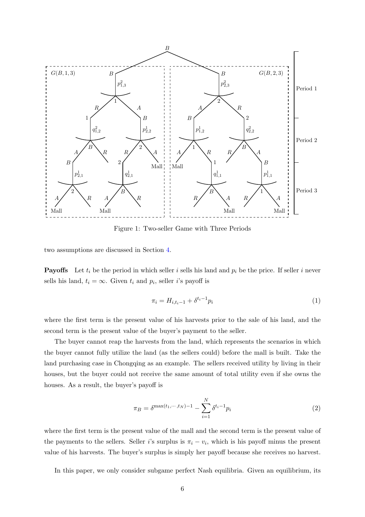<span id="page-5-0"></span>

Figure 1: Two-seller Game with Three Periods

two assumptions are discussed in Section [4.](#page-18-0)

**Payoffs** Let  $t_i$  be the period in which seller i sells his land and  $p_i$  be the price. If seller i never sells his land,  $t_i = \infty$ . Given  $t_i$  and  $p_i$ , seller *i*'s payoff is

<span id="page-5-1"></span>
$$
\pi_i = H_{i,t_i-1} + \delta^{t_i - 1} p_i \tag{1}
$$

where the first term is the present value of his harvests prior to the sale of his land, and the second term is the present value of the buyer's payment to the seller.

The buyer cannot reap the harvests from the land, which represents the scenarios in which the buyer cannot fully utilize the land (as the sellers could) before the mall is built. Take the land purchasing case in Chongqing as an example. The sellers received utility by living in their houses, but the buyer could not receive the same amount of total utility even if she owns the houses. As a result, the buyer's payoff is

<span id="page-5-2"></span>
$$
\pi_B = \delta^{\max(t_1, \cdots, t_N) - 1} - \sum_{i=1}^{N} \delta^{t_i - 1} p_i
$$
 (2)

where the first term is the present value of the mall and the second term is the present value of the payments to the sellers. Seller i's surplus is  $\pi_i - v_i$ , which is his payoff minus the present value of his harvests. The buyer's surplus is simply her payoff because she receives no harvest.

In this paper, we only consider subgame perfect Nash equilibria. Given an equilibrium, its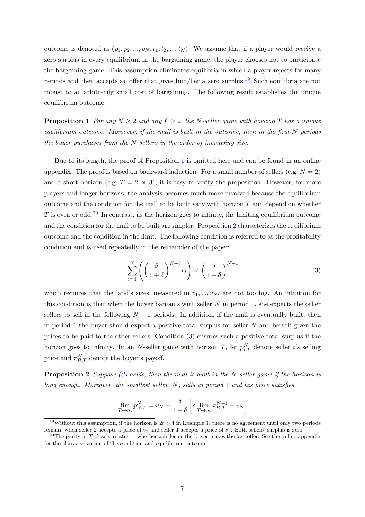outcome is denoted as  $(p_1, p_2, ..., p_N, t_1, t_2, ..., t_N)$ . We assume that if a player would receive a zero surplus in every equilibrium in the bargaining game, the player chooses not to participate the bargaining game. This assumption eliminates equilibria in which a player rejects for many periods and then accepts an offer that gives him/her a zero surplus.[19](#page-6-0) Such equilibria are not robust to an arbitrarily small cost of bargaining. The following result establishes the unique equilibrium outcome.

<span id="page-6-1"></span>**Proposition 1** For any  $N \geq 2$  and any  $T \geq 2$ , the N-seller game with horizon T has a unique equilibrium outcome. Moreover, if the mall is built in the outcome, then in the first N periods the buyer purchases from the  $N$  sellers in the order of increasing size.

Due to its length, the proof of Proposition [1](#page-6-1) is omitted here and can be found in an online appendix. The proof is based on backward induction. For a small number of sellers (e.g.  $N = 2$ ) and a short horizon (e.g.  $T = 2$  or 3), it is easy to verify the proposition. However, for more players and longer horizons, the analysis becomes much more involved because the equilibrium outcome and the condition for the mall to be built vary with horizon  $T$  and depend on whether T is even or odd.<sup>[20](#page-6-2)</sup> In contrast, as the horizon goes to infinity, the limiting equilibrium outcome and the condition for the mall to be built are simpler. Proposition [2](#page-6-3) characterizes the equilibrium outcome and the condition in the limit. The following condition is referred to as the profitability condition and is used repeatedly in the remainder of the paper:

<span id="page-6-4"></span>
$$
\sum_{i=1}^{N} \left( \left( \frac{\delta}{1+\delta} \right)^{N-i} v_i \right) < \left( \frac{\delta}{1+\delta} \right)^{N-1} \tag{3}
$$

which requires that the land's sizes, measured in  $v_1, ..., v_N$ , are not too big. An intuition for this condition is that when the buyer bargains with seller  $N$  in period 1, she expects the other sellers to sell in the following  $N-1$  periods. In addition, if the mall is eventually built, then in period 1 the buyer should expect a positive total surplus for seller  $N$  and herself given the prices to be paid to the other sellers. Condition [\(3\)](#page-6-4) ensures such a positive total surplus if the horizon goes to infinity. In an N-seller game with horizon T, let  $p_{i,T}^N$  denote seller i's selling price and  $\pi_{B,T}^N$  denote the buyer's payoff.

**Proposition 2** Suppose [\(3\)](#page-6-4) holds, then the mall is built in the N-seller game if the horizon is long enough. Moreover, the smallest seller,  $N$ , sells in period 1 and his price satisfies

<span id="page-6-5"></span><span id="page-6-3"></span>
$$
\lim_{T \to \infty} p_{N,T}^N = v_N + \frac{\delta}{1+\delta} \left[ \delta \lim_{T \to \infty} \pi_{B,T}^{N-1} - v_N \right]
$$

<span id="page-6-0"></span><sup>&</sup>lt;sup>19</sup>Without this assumption, if the horizon is  $2t > 4$  in Example [1,](#page-8-1) there is no agreement until only two periods remain, when seller 2 accepts a price of  $v_2$  and seller 1 accepts a price of  $v_1$ . Both sellers' surplus is zero.

<span id="page-6-2"></span><sup>&</sup>lt;sup>20</sup>The parity of T closely relates to whether a seller or the buyer makes the last offer. See the online appendix for the characterization of the condition and equilibrium outcome.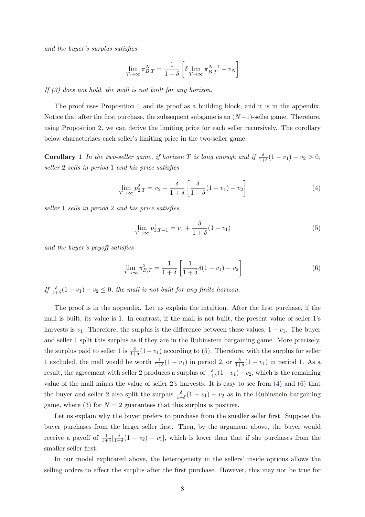and the buyer's surplus satisfies

$$
\lim_{T \to \infty} \pi_{B,T}^N = \frac{1}{1+\delta} \left[ \delta \lim_{T \to \infty} \pi_{B,T}^{N-1} - v_N \right]
$$

If  $(3)$  does not hold, the mall is not built for any horizon.

The proof uses Proposition [1](#page-6-1) and its proof as a building block, and it is in the appendix. Notice that after the first purchase, the subsequent subgame is an  $(N-1)$ -seller game. Therefore, using Proposition [2,](#page-6-3) we can derive the limiting price for each seller recursively. The corollary below characterizes each seller's limiting price in the two-seller game.

<span id="page-7-2"></span>**Corollary 1** In the two-seller game, if horizon T is long enough and if  $\frac{\delta}{1+\delta}(1-v_1)-v_2 > 0$ , seller 2 sells in period 1 and his price satisfies

$$
\lim_{T \to \infty} p_{2,T}^2 = v_2 + \frac{\delta}{1+\delta} \left[ \frac{\delta}{1+\delta} (1-v_1) - v_2 \right] \tag{4}
$$

seller 1 sells in period 2 and his price satisfies

<span id="page-7-0"></span>
$$
\lim_{T \to \infty} p_{1,T-1}^1 = v_1 + \frac{\delta}{1+\delta} (1-v_1)
$$
\n(5)

and the buyer's payoff satisfies

<span id="page-7-1"></span>
$$
\lim_{T \to \infty} \pi_{B,T}^2 = \frac{1}{1+\delta} \left[ \frac{1}{1+\delta} \delta(1-v_1) - v_2 \right]
$$
 (6)

If  $\frac{\delta}{1+\delta}(1-v_1)-v_2 \leq 0$ , the mall is not built for any finite horizon.

The proof is in the appendix. Let us explain the intuition. After the first purchase, if the mall is built, its value is 1. In contrast, if the mall is not built, the present value of seller 1's harvests is  $v_1$ . Therefore, the surplus is the difference between these values,  $1 - v_1$ . The buyer and seller 1 split this surplus as if they are in the Rubinstein bargaining game. More precisely, the surplus paid to seller 1 is  $\frac{\delta}{1+\delta}(1-v_1)$  according to [\(5\)](#page-7-0). Therefore, with the surplus for seller 1 excluded, the mall would be worth  $\frac{1}{1+\delta}(1-v_1)$  in period 2, or  $\frac{\delta}{1+\delta}(1-v_1)$  in period 1. As a result, the agreement with seller 2 produces a surplus of  $\frac{\delta}{1+\delta}(1-v_1)-v_2$ , which is the remaining value of the mall minus the value of seller 2's harvests. It is easy to see from [\(4\)](#page-6-5) and [\(6\)](#page-7-1) that the buyer and seller 2 also split the surplus  $\frac{\delta}{1+\delta}(1-v_1)-v_2$  as in the Rubinstein bargaining game, where  $(3)$  for  $N = 2$  guarantees that this surplus is positive.

Let us explain why the buyer prefers to purchase from the smaller seller first. Suppose the buyer purchases from the larger seller first. Then, by the argument above, the buyer would receive a payoff of  $\frac{1}{1+\delta}[\frac{\delta}{1+\delta}]$  $\frac{\partial}{\partial t} (1 - v_2) - v_1$ , which is lower than that if she purchases from the smaller seller first.

In our model explicated above, the heterogeneity in the sellers' inside options allows the selling orders to affect the surplus after the first purchase. However, this may not be true for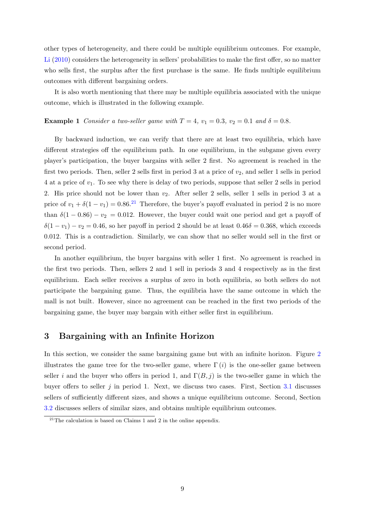other types of heterogeneity, and there could be multiple equilibrium outcomes. For example, [Li](#page-22-0) [\(2010\)](#page-22-0) considers the heterogeneity in sellers' probabilities to make the first offer, so no matter who sells first, the surplus after the first purchase is the same. He finds multiple equilibrium outcomes with different bargaining orders.

It is also worth mentioning that there may be multiple equilibria associated with the unique outcome, which is illustrated in the following example.

#### <span id="page-8-1"></span>**Example 1** Consider a two-seller game with  $T = 4$ ,  $v_1 = 0.3$ ,  $v_2 = 0.1$  and  $\delta = 0.8$ .

By backward induction, we can verify that there are at least two equilibria, which have different strategies off the equilibrium path. In one equilibrium, in the subgame given every player's participation, the buyer bargains with seller 2 first. No agreement is reached in the first two periods. Then, seller 2 sells first in period 3 at a price of  $v_2$ , and seller 1 sells in period 4 at a price of  $v_1$ . To see why there is delay of two periods, suppose that seller 2 sells in period 2. His price should not be lower than  $v_2$ . After seller 2 sells, seller 1 sells in period 3 at a price of  $v_1 + \delta(1 - v_1) = 0.86^{21}$  $v_1 + \delta(1 - v_1) = 0.86^{21}$  $v_1 + \delta(1 - v_1) = 0.86^{21}$  Therefore, the buyer's payoff evaluated in period 2 is no more than  $\delta(1 - 0.86) - v_2 = 0.012$ . However, the buyer could wait one period and get a payoff of  $\delta(1 - v_1) - v_2 = 0.46$ , so her payoff in period 2 should be at least  $0.46\delta = 0.368$ , which exceeds 0.012. This is a contradiction. Similarly, we can show that no seller would sell in the first or second period.

In another equilibrium, the buyer bargains with seller 1 first. No agreement is reached in the first two periods. Then, sellers 2 and 1 sell in periods 3 and 4 respectively as in the first equilibrium. Each seller receives a surplus of zero in both equilibria, so both sellers do not participate the bargaining game. Thus, the equilibria have the same outcome in which the mall is not built. However, since no agreement can be reached in the first two periods of the bargaining game, the buyer may bargain with either seller first in equilibrium.

### <span id="page-8-0"></span>3 Bargaining with an Infinite Horizon

In this section, we consider the same bargaining game but with an infinite horizon. Figure [2](#page-9-1) illustrates the game tree for the two-seller game, where  $\Gamma(i)$  is the one-seller game between seller i and the buyer who offers in period 1, and  $\Gamma(B, j)$  is the two-seller game in which the buyer offers to seller  $j$  in period 1. Next, we discuss two cases. First, Section [3.1](#page-9-0) discusses sellers of sufficiently different sizes, and shows a unique equilibrium outcome. Second, Section [3.2](#page-16-0) discusses sellers of similar sizes, and obtains multiple equilibrium outcomes.

<span id="page-8-2"></span><sup>&</sup>lt;sup>21</sup>The calculation is based on Claims 1 and 2 in the online appendix.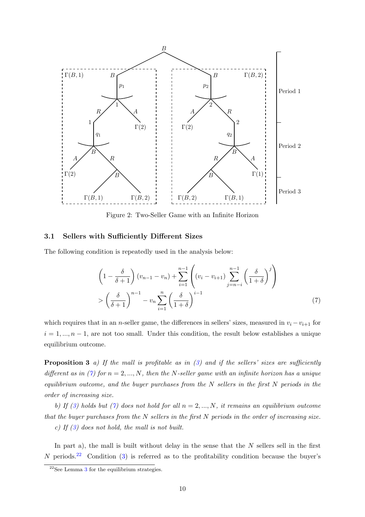<span id="page-9-1"></span>

Figure 2: Two-Seller Game with an Infinite Horizon

#### <span id="page-9-0"></span>3.1 Sellers with Sufficiently Different Sizes

The following condition is repeatedly used in the analysis below:

<span id="page-9-2"></span>
$$
\left(1 - \frac{\delta}{\delta + 1}\right)(v_{n-1} - v_n) + \sum_{i=1}^{n-1} \left((v_i - v_{i+1}) \sum_{j=n-i}^{n-1} \left(\frac{\delta}{1+\delta}\right)^j\right)
$$

$$
> \left(\frac{\delta}{\delta + 1}\right)^{n-1} - v_n \sum_{i=1}^n \left(\frac{\delta}{1+\delta}\right)^{i-1} \tag{7}
$$

which requires that in an n-seller game, the differences in sellers' sizes, measured in  $v_i - v_{i+1}$  for  $i = 1, ..., n - 1$ , are not too small. Under this condition, the result below establishes a unique equilibrium outcome.

<span id="page-9-4"></span>**Proposition 3** a) If the mall is profitable as in  $(3)$  and if the sellers' sizes are sufficiently different as in [\(7\)](#page-9-2) for  $n = 2, ..., N$ , then the N-seller game with an infinite horizon has a unique equilibrium outcome, and the buyer purchases from the  $N$  sellers in the first  $N$  periods in the order of increasing size.

b) If [\(3\)](#page-6-4) holds but [\(7\)](#page-9-2) does not hold for all  $n = 2, ..., N$ , it remains an equilibrium outcome that the buyer purchases from the  $N$  sellers in the first  $N$  periods in the order of increasing size.

c) If [\(3\)](#page-6-4) does not hold, the mall is not built.

In part a), the mall is built without delay in the sense that the  $N$  sellers sell in the first N periods.<sup>[22](#page-9-3)</sup> Condition [\(3\)](#page-6-4) is referred as to the profitability condition because the buyer's

<span id="page-9-3"></span> $^{22}$ See Lemma [3](#page-25-0) for the equilibrium strategies.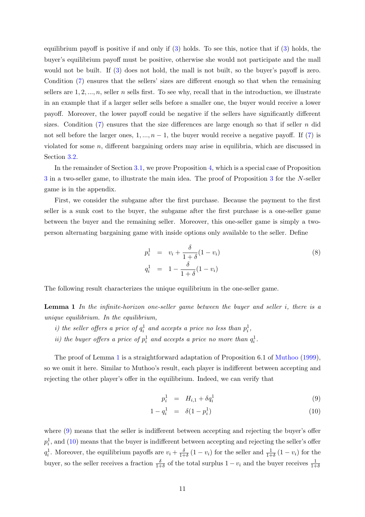equilibrium payoff is positive if and only if  $(3)$  holds. To see this, notice that if  $(3)$  holds, the buyer's equilibrium payoff must be positive, otherwise she would not participate and the mall would not be built. If  $(3)$  does not hold, the mall is not built, so the buyer's payoff is zero. Condition [\(7\)](#page-9-2) ensures that the sellers' sizes are different enough so that when the remaining sellers are  $1, 2, ..., n$ , seller n sells first. To see why, recall that in the introduction, we illustrate in an example that if a larger seller sells before a smaller one, the buyer would receive a lower payoff. Moreover, the lower payoff could be negative if the sellers have significantly different sizes. Condition  $(7)$  ensures that the size differences are large enough so that if seller n did not sell before the larger ones,  $1, ..., n-1$ , the buyer would receive a negative payoff. If [\(7\)](#page-9-2) is violated for some  $n$ , different bargaining orders may arise in equilibria, which are discussed in Section [3.2.](#page-16-0)

In the remainder of Section [3.1,](#page-9-0) we prove Proposition [4,](#page-11-0) which is a special case of Proposition [3](#page-9-4) in a two-seller game, to illustrate the main idea. The proof of Proposition [3](#page-9-4) for the N-seller game is in the appendix.

First, we consider the subgame after the first purchase. Because the payment to the first seller is a sunk cost to the buyer, the subgame after the first purchase is a one-seller game between the buyer and the remaining seller. Moreover, this one-seller game is simply a twoperson alternating bargaining game with inside options only available to the seller. Define

<span id="page-10-2"></span>
$$
p_i^1 = v_i + \frac{\delta}{1+\delta}(1-v_i) q_i^1 = 1 - \frac{\delta}{1+\delta}(1-v_i)
$$
 (8)

<span id="page-10-0"></span>The following result characterizes the unique equilibrium in the one-seller game.

**Lemma 1** In the infinite-horizon one-seller game between the buyer and seller  $i$ , there is a unique equilibrium. In the equilibrium,

- *i*) the seller offers a price of  $q_i^1$  and accepts a price no less than  $p_i^1$ ,
- ii) the buyer offers a price of  $p_i^1$  and accepts a price no more than  $q_i^1$ .

The proof of Lemma [1](#page-10-0) is a straightforward adaptation of Proposition 6.1 of [Muthoo](#page-22-2) [\(1999\)](#page-22-2), so we omit it here. Similar to Muthoo's result, each player is indifferent between accepting and rejecting the other player's offer in the equilibrium. Indeed, we can verify that

<span id="page-10-1"></span>
$$
p_i^1 = H_{i,1} + \delta q_i^1 \tag{9}
$$

$$
1 - q_i^1 = \delta(1 - p_i^1) \tag{10}
$$

where [\(9\)](#page-10-1) means that the seller is indifferent between accepting and rejecting the buyer's offer  $p_i^1$ , and [\(10\)](#page-10-1) means that the buyer is indifferent between accepting and rejecting the seller's offer  $q_i^1$ . Moreover, the equilibrium payoffs are  $v_i + \frac{\delta}{1+\delta}$  $\frac{\delta}{1+\delta}(1-v_i)$  for the seller and  $\frac{1}{1+\delta}(1-v_i)$  for the buyer, so the seller receives a fraction  $\frac{\delta}{1+\delta}$  of the total surplus  $1 - v_i$  and the buyer receives  $\frac{1}{1+\delta}$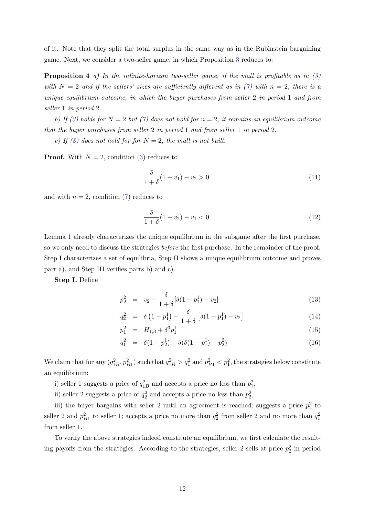of it. Note that they split the total surplus in the same way as in the Rubinstein bargaining game. Next, we consider a two-seller game, in which Proposition [3](#page-9-4) reduces to:

**Proposition 4** a) In the infinite-horizon two-seller game, if the mall is profitable as in  $(3)$ with  $N = 2$  and if the sellers' sizes are sufficiently different as in [\(7\)](#page-9-2) with  $n = 2$ , there is a unique equilibrium outcome, in which the buyer purchases from seller 2 in period 1 and from seller 1 in period 2.

b) If [\(3\)](#page-6-4) holds for  $N = 2$  but [\(7\)](#page-9-2) does not hold for  $n = 2$ , it remains an equilibrium outcome that the buyer purchases from seller 2 in period 1 and from seller 1 in period 2.

c) If [\(3\)](#page-6-4) does not hold for for  $N = 2$ , the mall is not built.

**Proof.** With  $N = 2$ , condition [\(3\)](#page-6-4) reduces to

<span id="page-11-1"></span><span id="page-11-0"></span>
$$
\frac{\delta}{1+\delta}(1-v_1)-v_2 > 0\tag{11}
$$

and with  $n = 2$ , condition [\(7\)](#page-9-2) reduces to

<span id="page-11-2"></span>
$$
\frac{\delta}{1+\delta}(1-v_2) - v_1 < 0 \tag{12}
$$

Lemma [1](#page-10-0) already characterizes the unique equilibrium in the subgame after the first purchase, so we only need to discuss the strategies *before* the first purchase. In the remainder of the proof, Step I characterizes a set of equilibria, Step II shows a unique equilibrium outcome and proves part a), and Step III verifies parts b) and c).

Step I. Define

<span id="page-11-3"></span>
$$
p_2^2 = v_2 + \frac{\delta}{1+\delta} [\delta(1-p_1^1) - v_2]
$$
\n(13)

$$
q_2^2 = \delta (1 - p_1^1) - \frac{\delta}{1 + \delta} [\delta (1 - p_1^1) - v_2]
$$
 (14)

$$
p_1^2 = H_{1,3} + \delta^3 p_1^1 \tag{15}
$$

$$
q_1^2 = \delta(1 - p_2^1) - \delta(\delta(1 - p_1^1) - p_2^2) \tag{16}
$$

We claim that for any  $(q_{1B}^2, p_{B1}^2)$  such that  $q_{1B}^2 > q_1^2$  and  $p_{B1}^2 < p_1^2$ , the strategies below constitute an equilibrium:

i) seller 1 suggests a price of  $q_{1B}^2$  and accepts a price no less than  $p_1^2$ ,

ii) seller 2 suggests a price of  $q_2^2$  and accepts a price no less than  $p_2^2$ ,

iii) the buyer bargains with seller 2 until an agreement is reached; suggests a price  $p_2^2$  to seller 2 and  $p_{B1}^2$  to seller 1; accepts a price no more than  $q_2^2$  from seller 2 and no more than  $q_1^2$ from seller 1.

To verify the above strategies indeed constitute an equilibrium, we first calculate the resulting payoffs from the strategies. According to the strategies, seller 2 sells at price  $p_2^2$  in period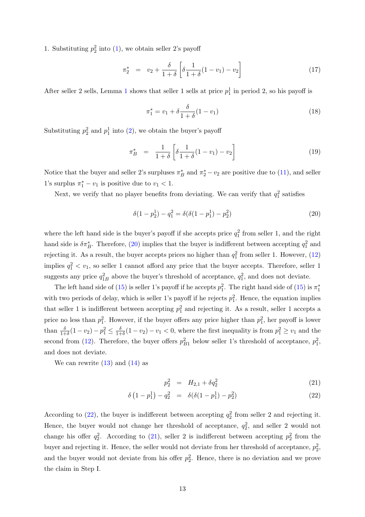1. Substituting  $p_2^2$  into [\(1\)](#page-5-1), we obtain seller 2's payoff

<span id="page-12-3"></span>
$$
\pi_2^* = v_2 + \frac{\delta}{1+\delta} \left[ \delta \frac{1}{1+\delta} (1-v_1) - v_2 \right] \tag{17}
$$

After seller 2 sells, Lemma [1](#page-10-0) shows that seller 1 sells at price  $p_1^1$  in period 2, so his payoff is

<span id="page-12-4"></span>
$$
\pi_1^* = v_1 + \delta \frac{\delta}{1+\delta} (1-v_1)
$$
\n(18)

Substituting  $p_2^2$  and  $p_1^1$  into [\(2\)](#page-5-2), we obtain the buyer's payoff

<span id="page-12-2"></span>
$$
\pi_B^* = \frac{1}{1+\delta} \left[ \delta \frac{1}{1+\delta} (1-v_1) - v_2 \right] \tag{19}
$$

Notice that the buyer and seller 2's surpluses  $\pi_B^*$  and  $\pi_2^* - v_2$  are positive due to [\(11\)](#page-11-1), and seller 1's surplus  $\pi_1^* - v_1$  is positive due to  $v_1 < 1$ .

Next, we verify that no player benefits from deviating. We can verify that  $q_1^2$  satisfies

<span id="page-12-0"></span>
$$
\delta(1 - p_2^1) - q_1^2 = \delta(\delta(1 - p_1^1) - p_2^2)
$$
\n(20)

where the left hand side is the buyer's payoff if she accepts price  $q_1^2$  from seller 1, and the right hand side is  $\delta \pi_B^*$ . Therefore, [\(20\)](#page-12-0) implies that the buyer is indifferent between accepting  $q_1^2$  and rejecting it. As a result, the buyer accepts prices no higher than  $q_1^2$  from seller 1. However, [\(12\)](#page-11-2) implies  $q_1^2 < v_1$ , so seller 1 cannot afford any price that the buyer accepts. Therefore, seller 1 suggests any price  $q_{1B}^2$  above the buyer's threshold of acceptance,  $q_1^2$ , and does not deviate.

The left hand side of [\(15\)](#page-11-3) is seller 1's payoff if he accepts  $p_1^2$ . The right hand side of (15) is  $\pi_1^*$ with two periods of delay, which is seller 1's payoff if he rejects  $p_1^2$ . Hence, the equation implies that seller 1 is indifferent between accepting  $p_1^2$  and rejecting it. As a result, seller 1 accepts a price no less than  $p_1^2$ . However, if the buyer offers any price higher than  $p_1^2$ , her payoff is lower than  $\frac{\delta}{1+\delta}(1-v_2) - p_1^2 \leq \frac{\delta}{1+\delta}$  $\frac{\delta}{1+\delta}(1-v_2)-v_1 < 0$ , where the first inequality is from  $p_1^2 \ge v_1$  and the second from [\(12\)](#page-11-2). Therefore, the buyer offers  $p_{B1}^2$  below seller 1's threshold of acceptance,  $p_1^2$ , and does not deviate.

We can rewrite  $(13)$  and  $(14)$  as

<span id="page-12-1"></span>
$$
p_2^2 = H_{2,1} + \delta q_2^2 \tag{21}
$$

$$
\delta\left(1-p_1^1\right) - q_2^2 = \delta(\delta(1-p_1^1) - p_2^2) \tag{22}
$$

According to [\(22\)](#page-12-1), the buyer is indifferent between accepting  $q_2^2$  from seller 2 and rejecting it. Hence, the buyer would not change her threshold of acceptance,  $q_2^2$ , and seller 2 would not change his offer  $q_2^2$ . According to [\(21\)](#page-12-1), seller 2 is indifferent between accepting  $p_2^2$  from the buyer and rejecting it. Hence, the seller would not deviate from her threshold of acceptance,  $p_2^2$ , and the buyer would not deviate from his offer  $p_2^2$ . Hence, there is no deviation and we prove the claim in Step I.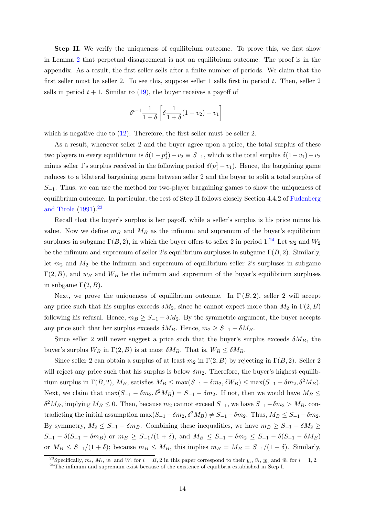Step II. We verify the uniqueness of equilibrium outcome. To prove this, we first show in Lemma [2](#page-24-0) that perpetual disagreement is not an equilibrium outcome. The proof is in the appendix. As a result, the first seller sells after a finite number of periods. We claim that the first seller must be seller 2. To see this, suppose seller 1 sells first in period  $t$ . Then, seller 2 sells in period  $t + 1$ . Similar to [\(19\)](#page-12-2), the buyer receives a payoff of

<span id="page-13-2"></span>
$$
\delta^{t-1} \frac{1}{1+\delta} \left[ \delta \frac{1}{1+\delta} (1-v_2) - v_1 \right]
$$

which is negative due to  $(12)$ . Therefore, the first seller must be seller 2.

As a result, whenever seller 2 and the buyer agree upon a price, the total surplus of these two players in every equilibrium is  $\delta(1-p_1^1)-v_2 \equiv S_{-1}$ , which is the total surplus  $\delta(1-v_1)-v_2$ minus seller 1's surplus received in the following period  $\delta(p_1^1 - v_1)$ . Hence, the bargaining game reduces to a bilateral bargaining game between seller 2 and the buyer to split a total surplus of  $S_{-1}$ . Thus, we can use the method for two-player bargaining games to show the uniqueness of equilibrium outcome. In particular, the rest of Step II follows closely Section 4.4.2 of [Fudenberg](#page-21-11) [and Tirole](#page-21-11) [\(1991\)](#page-21-11).[23](#page-13-0)

Recall that the buyer's surplus is her payoff, while a seller's surplus is his price minus his value. Now we define  $m_B$  and  $M_B$  as the infimum and supremum of the buyer's equilibrium surpluses in subgame  $\Gamma(B, 2)$ , in which the buyer offers to seller 2 in period 1.<sup>[24](#page-13-1)</sup> Let  $w_2$  and  $W_2$ be the infimum and supremum of seller 2's equilibrium surpluses in subgame  $\Gamma(B, 2)$ . Similarly, let  $m_2$  and  $M_2$  be the infimum and supremum of equilibrium seller 2's surpluses in subgame  $\Gamma(2, B)$ , and  $w_B$  and  $W_B$  be the infimum and supremum of the buyer's equilibrium surpluses in subgame  $\Gamma(2, B)$ .

Next, we prove the uniqueness of equilibrium outcome. In  $\Gamma(B, 2)$ , seller 2 will accept any price such that his surplus exceeds  $\delta M_2$ , since he cannot expect more than  $M_2$  in  $\Gamma(2, B)$ following his refusal. Hence,  $m_B \geq S_{-1} - \delta M_2$ . By the symmetric argument, the buyer accepts any price such that her surplus exceeds  $\delta M_B$ . Hence,  $m_2 \geq S_{-1} - \delta M_B$ .

Since seller 2 will never suggest a price such that the buyer's surplus exceeds  $\delta M_B$ , the buyer's surplus  $W_B$  in  $\Gamma(2, B)$  is at most  $\delta M_B$ . That is,  $W_B \leq \delta M_B$ .

Since seller 2 can obtain a surplus of at least  $m_2$  in  $\Gamma(2, B)$  by rejecting in  $\Gamma(B, 2)$ . Seller 2 will reject any price such that his surplus is below  $\delta m_2$ . Therefore, the buyer's highest equilibrium surplus in  $\Gamma(B, 2)$ ,  $M_B$ , satisfies  $M_B \le \max(S_{-1} - \delta m_2, \delta W_B) \le \max(S_{-1} - \delta m_2, \delta^2 M_B)$ . Next, we claim that  $\max(S_{-1} - \delta m_2, \delta^2 M_B) = S_{-1} - \delta m_2$ . If not, then we would have  $M_B \leq$  $\delta^2 M_B$ , implying  $M_B \leq 0$ . Then, because  $m_2$  cannot exceed  $S_{-1}$ , we have  $S_{-1}-\delta m_2 > M_B$ , contradicting the initial assumption  $\max(S_{-1} - \delta m_2, \delta^2 M_B) \neq S_{-1} - \delta m_2$ . Thus,  $M_B \leq S_{-1} - \delta m_2$ . By symmetry,  $M_2 \leq S_{-1} - \delta m_B$ . Combining these inequalities, we have  $m_B \geq S_{-1} - \delta M_2 \geq$  $S_{-1} - \delta(S_{-1} - \delta m_B)$  or  $m_B \geq S_{-1}/(1+\delta)$ , and  $M_B \leq S_{-1} - \delta m_B \leq S_{-1} - \delta(S_{-1} - \delta M_B)$ or  $M_B \leq S_{-1}/(1+\delta)$ ; because  $m_B \leq M_B$ , this implies  $m_B = M_B = S_{-1}/(1+\delta)$ . Similarly,

<span id="page-13-0"></span><sup>&</sup>lt;sup>23</sup>Specifically,  $m_i$ ,  $M_i$ ,  $w_i$  and  $W_i$  for  $i = B, 2$  in this paper correspond to their  $\underline{v}_i$ ,  $\overline{v}_i$ ,  $\underline{w}_i$  and  $\overline{w}_i$  for  $i = 1, 2$ .

<span id="page-13-1"></span> $24$ The infimum and supremum exist because of the existence of equilibria established in Step I.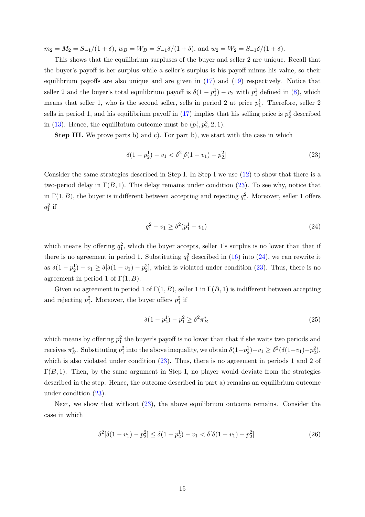$m_2 = M_2 = S_{-1}/(1+\delta)$ ,  $w_B = W_B = S_{-1}\delta/(1+\delta)$ , and  $w_2 = W_2 = S_{-1}\delta/(1+\delta)$ .

This shows that the equilibrium surpluses of the buyer and seller 2 are unique. Recall that the buyer's payoff is her surplus while a seller's surplus is his payoff minus his value, so their equilibrium payoffs are also unique and are given in [\(17\)](#page-12-3) and [\(19\)](#page-12-2) respectively. Notice that seller 2 and the buyer's total equilibrium payoff is  $\delta(1-p_1^1) - v_2$  with  $p_1^1$  defined in [\(8\)](#page-10-2), which means that seller 1, who is the second seller, sells in period 2 at price  $p_1^1$ . Therefore, seller 2 sells in period 1, and his equilibrium payoff in  $(17)$  implies that his selling price is  $p_2^2$  described in [\(13\)](#page-11-3). Hence, the equilibrium outcome must be  $(p_1^1, p_2^2, 2, 1)$ .

Step III. We prove parts b) and c). For part b), we start with the case in which

$$
\delta(1 - p_2^1) - v_1 < \delta^2[\delta(1 - v_1) - p_2^2] \tag{23}
$$

Consider the same strategies described in Step I. In Step I we use [\(12\)](#page-11-2) to show that there is a two-period delay in  $\Gamma(B, 1)$ . This delay remains under condition [\(23\)](#page-13-2). To see why, notice that in  $\Gamma(1, B)$ , the buyer is indifferent between accepting and rejecting  $q_1^2$ . Moreover, seller 1 offers  $q_1^2$  if

<span id="page-14-0"></span>
$$
q_1^2 - v_1 \ge \delta^2(p_1^1 - v_1) \tag{24}
$$

which means by offering  $q_1^2$ , which the buyer accepts, seller 1's surplus is no lower than that if there is no agreement in period 1. Substituting  $q_1^2$  described in [\(16\)](#page-11-3) into [\(24\)](#page-14-0), we can rewrite it as  $\delta(1-p_2^1)-v_1 \geq \delta[\delta(1-v_1)-p_2^2]$ , which is violated under condition [\(23\)](#page-13-2). Thus, there is no agreement in period 1 of  $\Gamma(1, B)$ .

Given no agreement in period 1 of  $\Gamma(1, B)$ , seller 1 in  $\Gamma(B, 1)$  is indifferent between accepting and rejecting  $p_1^2$ . Moreover, the buyer offers  $p_1^2$  if

<span id="page-14-1"></span>
$$
\delta(1 - p_2^1) - p_1^2 \ge \delta^2 \pi_B^* \tag{25}
$$

which means by offering  $p_1^2$  the buyer's payoff is no lower than that if she waits two periods and receives  $\pi_B^*$ . Substituting  $p_1^2$  into the above inequality, we obtain  $\delta(1-p_2^1)-v_1 \geq \delta^2(\delta(1-v_1)-p_2^2)$ , which is also violated under condition  $(23)$ . Thus, there is no agreement in periods 1 and 2 of  $\Gamma(B, 1)$ . Then, by the same argument in Step I, no player would deviate from the strategies described in the step. Hence, the outcome described in part a) remains an equilibrium outcome under condition [\(23\)](#page-13-2).

Next, we show that without [\(23\)](#page-13-2), the above equilibrium outcome remains. Consider the case in which

<span id="page-14-2"></span>
$$
\delta^2[\delta(1-v_1)-p_2^2] \le \delta(1-p_2^1)-v_1 < \delta[\delta(1-v_1)-p_2^2]
$$
\n(26)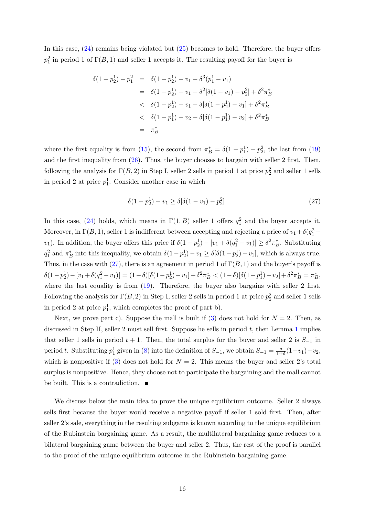In this case, [\(24\)](#page-14-0) remains being violated but [\(25\)](#page-14-1) becomes to hold. Therefore, the buyer offers  $p_1^2$  in period 1 of  $\Gamma(B, 1)$  and seller 1 accepts it. The resulting payoff for the buyer is

$$
\delta(1-p_2^1) - p_1^2 = \delta(1-p_2^1) - v_1 - \delta^3(p_1^1 - v_1)
$$
  
= 
$$
\delta(1-p_2^1) - v_1 - \delta^2[\delta(1-v_1) - p_2^2] + \delta^2 \pi_B^*
$$
  

$$
< \delta(1-p_2^1) - v_1 - \delta[\delta(1-p_2^1) - v_1] + \delta^2 \pi_B^*
$$
  

$$
< \delta(1-p_1^1) - v_2 - \delta[\delta(1-p_1^1) - v_2] + \delta^2 \pi_B^*
$$
  
= 
$$
\pi_B^*
$$

where the first equality is from [\(15\)](#page-11-3), the second from  $\pi_B^* = \delta(1 - p_1^1) - p_2^2$ , the last from [\(19\)](#page-12-2) and the first inequality from [\(26\)](#page-14-2). Thus, the buyer chooses to bargain with seller 2 first. Then, following the analysis for  $\Gamma(B, 2)$  in Step I, seller 2 sells in period 1 at price  $p_2^2$  and seller 1 sells in period 2 at price  $p_1^1$ . Consider another case in which

<span id="page-15-0"></span>
$$
\delta(1 - p_2^1) - v_1 \ge \delta[\delta(1 - v_1) - p_2^2]
$$
\n(27)

In this case, [\(24\)](#page-14-0) holds, which means in  $\Gamma(1, B)$  seller 1 offers  $q_1^2$  and the buyer accepts it. Moreover, in  $\Gamma(B, 1)$ , seller 1 is indifferent between accepting and rejecting a price of  $v_1 + \delta(q_1^2$ v<sub>1</sub>). In addition, the buyer offers this price if  $\delta(1-p_2^1) - [v_1 + \delta(q_1^2 - v_1)] \geq \delta^2 \pi_B^*$ . Substituting  $q_1^2$  and  $\pi_B^*$  into this inequality, we obtain  $\delta(1-p_2^1)-v_1 \geq \delta[\delta(1-p_2^1)-v_1]$ , which is always true. Thus, in the case with [\(27\)](#page-15-0), there is an agreement in period 1 of  $\Gamma(B, 1)$  and the buyer's payoff is  $\delta(1-p_2^1) - [v_1 + \delta(q_1^2 - v_1)] = (1 - \delta)[\delta(1-p_2^1) - v_1] + \delta^2 \pi_B^* < (1 - \delta)[\delta(1-p_1^1) - v_2] + \delta^2 \pi_B^* = \pi_B^*,$ where the last equality is from  $(19)$ . Therefore, the buyer also bargains with seller 2 first. Following the analysis for  $\Gamma(B, 2)$  in Step I, seller 2 sells in period 1 at price  $p_2^2$  and seller 1 sells in period 2 at price  $p_1^1$ , which completes the proof of part b).

Next, we prove part c). Suppose the mall is built if [\(3\)](#page-6-4) does not hold for  $N = 2$ . Then, as discussed in Step II, seller 2 must sell first. Suppose he sells in period  $t$ , then Lemma [1](#page-10-0) implies that seller 1 sells in period  $t + 1$ . Then, the total surplus for the buyer and seller 2 is  $S_{-1}$  in period t. Substituting  $p_1^1$  given in [\(8\)](#page-10-2) into the definition of  $S_{-1}$ , we obtain  $S_{-1} = \frac{\delta}{1+\delta}$  $\frac{\delta}{1+\delta}(1-v_1)-v_2,$ which is nonpositive if [\(3\)](#page-6-4) does not hold for  $N = 2$ . This means the buyer and seller 2's total surplus is nonpositive. Hence, they choose not to participate the bargaining and the mall cannot be built. This is a contradiction.  $\blacksquare$ 

We discuss below the main idea to prove the unique equilibrium outcome. Seller 2 always sells first because the buyer would receive a negative payoff if seller 1 sold first. Then, after seller 2's sale, everything in the resulting subgame is known according to the unique equilibrium of the Rubinstein bargaining game. As a result, the multilateral bargaining game reduces to a bilateral bargaining game between the buyer and seller 2. Thus, the rest of the proof is parallel to the proof of the unique equilibrium outcome in the Rubinstein bargaining game.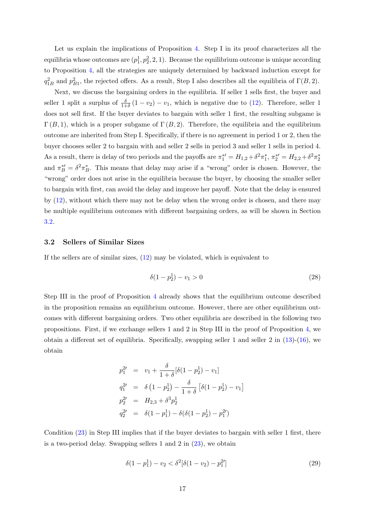Let us explain the implications of Proposition [4.](#page-11-0) Step I in its proof characterizes all the equilibria whose outcomes are  $(p_1^1, p_2^2, 2, 1)$ . Because the equilibrium outcome is unique according to Proposition [4,](#page-11-0) all the strategies are uniquely determined by backward induction except for  $q_{1B}^2$  and  $p_{B1}^2$ , the rejected offers. As a result, Step I also describes all the equilibria of  $\Gamma(B, 2)$ .

Next, we discuss the bargaining orders in the equilibria. If seller 1 sells first, the buyer and seller 1 split a surplus of  $\frac{\delta}{1+\delta}(1-v_2)-v_1$ , which is negative due to [\(12\)](#page-11-2). Therefore, seller 1 does not sell first. If the buyer deviates to bargain with seller 1 first, the resulting subgame is  $\Gamma(B,1)$ , which is a proper subgame of  $\Gamma(B,2)$ . Therefore, the equilibria and the equilibrium outcome are inherited from Step I. Specifically, if there is no agreement in period 1 or 2, then the buyer chooses seller 2 to bargain with and seller 2 sells in period 3 and seller 1 sells in period 4. As a result, there is delay of two periods and the payoffs are  $\pi_1^{*\prime} = H_{1,2} + \delta^2 \pi_1^*, \ \pi_2^{*\prime} = H_{2,2} + \delta^2 \pi_2^*$ and  $\pi_B^{*\prime} = \delta^2 \pi_B^*$ . This means that delay may arise if a "wrong" order is chosen. However, the "wrong" order does not arise in the equilibria because the buyer, by choosing the smaller seller to bargain with first, can avoid the delay and improve her payoff. Note that the delay is ensured by [\(12\)](#page-11-2), without which there may not be delay when the wrong order is chosen, and there may be multiple equilibrium outcomes with different bargaining orders, as will be shown in Section [3.2.](#page-16-0)

#### <span id="page-16-0"></span>3.2 Sellers of Similar Sizes

If the sellers are of similar sizes, [\(12\)](#page-11-2) may be violated, which is equivalent to

<span id="page-16-1"></span>
$$
\delta(1 - p_2^1) - v_1 > 0 \tag{28}
$$

1

Step III in the proof of Proposition [4](#page-11-0) already shows that the equilibrium outcome described in the proposition remains an equilibrium outcome. However, there are other equilibrium outcomes with different bargaining orders. Two other equilibria are described in the following two propositions. First, if we exchange sellers 1 and 2 in Step III in the proof of Proposition [4,](#page-11-0) we obtain a different set of equilibria. Specifically, swapping seller 1 and seller 2 in  $(13)-(16)$  $(13)-(16)$ , we obtain

$$
p_1^{2'} = v_1 + \frac{\delta}{1+\delta} [\delta(1-p_2^1) - v_1]
$$
  
\n
$$
q_1^{2'} = \delta (1-p_2^1) - \frac{\delta}{1+\delta} [\delta(1-p_2^1) - v_1
$$
  
\n
$$
p_2^{2'} = H_{2,3} + \delta^3 p_2^1
$$
  
\n
$$
q_2^{2'} = \delta(1-p_1^1) - \delta(\delta(1-p_2^1) - p_1^{2'})
$$

Condition [\(23\)](#page-13-2) in Step III implies that if the buyer deviates to bargain with seller 1 first, there is a two-period delay. Swapping sellers 1 and 2 in [\(23\)](#page-13-2), we obtain

<span id="page-16-2"></span>
$$
\delta(1 - p_1^1) - v_2 < \delta^2[\delta(1 - v_2) - p_1^{2\prime}] \tag{29}
$$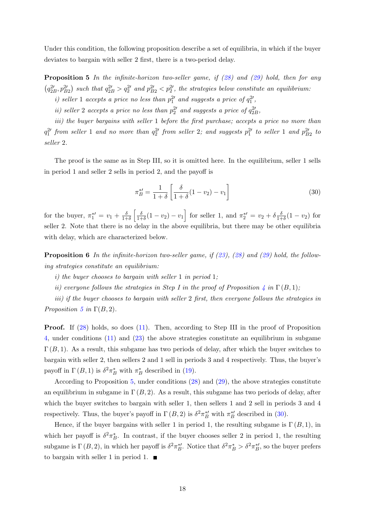Under this condition, the following proposition describe a set of equilibria, in which if the buyer deviates to bargain with seller 2 first, there is a two-period delay.

<span id="page-17-1"></span>**Proposition 5** In the infinite-horizon two-seller game, if  $(28)$  and  $(29)$  hold, then for any  $(q_{2B}^2, p_{B2}^2)$  such that  $q_{2B}^2 > q_2^2$  and  $p_{B2}^2 < p_2^2$ , the strategies below constitute an equilibrium:

- *i*) seller 1 accepts a price no less than  $p_1^{2'}$  and suggests a price of  $q_1^{2'}$ ,
- ii) seller 2 accepts a price no less than  $p_2^2$  and suggests a price of  $q_{2B}^2$ ,

iii) the buyer bargains with seller 1 before the first purchase; accepts a price no more than  $q_1^{2}$  from seller 1 and no more than  $q_2^{2}$  from seller 2; and suggests  $p_1^{2}$  to seller 1 and  $p_{B2}^{2}$  to seller 2.

The proof is the same as in Step III, so it is omitted here. In the equilibrium, seller 1 sells in period 1 and seller 2 sells in period 2, and the payoff is

<span id="page-17-2"></span>
$$
\pi_B^{*\prime} = \frac{1}{1+\delta} \left[ \frac{\delta}{1+\delta} (1-v_2) - v_1 \right] \tag{30}
$$

for the buyer,  $\pi_1^{*\prime} = v_1 + \frac{\delta}{1+\delta}$  $\frac{\delta}{1+\delta}$   $\left[\frac{\delta}{1+\delta}\right]$  $\frac{\delta}{1+\delta}(1-v_2)-v_1$  for seller 1, and  $\pi_2^{*\prime} = v_2 + \delta \frac{\delta}{1+\delta}$  $\frac{\delta}{1+\delta}(1-v_2)$  for seller 2. Note that there is no delay in the above equilibria, but there may be other equilibria with delay, which are characterized below.

<span id="page-17-0"></span>**Proposition 6** In the infinite-horizon two-seller game, if  $(23)$ ,  $(28)$  and  $(29)$  hold, the following strategies constitute an equilibrium:

- i) the buyer chooses to bargain with seller 1 in period 1;
- ii) everyone follows the strategies in Step I in the proof of Proposition  $\oint \ln \Gamma(B, 1);$

iii) if the buyer chooses to bargain with seller 2 first, then everyone follows the strategies in Proposition [5](#page-17-1) in  $\Gamma(B, 2)$ .

**Proof.** If [\(28\)](#page-16-1) holds, so does [\(11\)](#page-11-1). Then, according to Step III in the proof of Proposition [4,](#page-11-0) under conditions [\(11\)](#page-11-1) and [\(23\)](#page-13-2) the above strategies constitute an equilibrium in subgame  $\Gamma(B, 1)$ . As a result, this subgame has two periods of delay, after which the buyer switches to bargain with seller 2, then sellers 2 and 1 sell in periods 3 and 4 respectively. Thus, the buyer's payoff in  $\Gamma(B, 1)$  is  $\delta^2 \pi_B^*$  with  $\pi_B^*$  described in [\(19\)](#page-12-2).

According to Proposition [5,](#page-17-1) under conditions [\(28\)](#page-16-1) and [\(29\)](#page-16-2), the above strategies constitute an equilibrium in subgame in  $\Gamma(B, 2)$ . As a result, this subgame has two periods of delay, after which the buyer switches to bargain with seller 1, then sellers 1 and 2 sell in periods 3 and 4 respectively. Thus, the buyer's payoff in  $\Gamma(B, 2)$  is  $\delta^2 \pi_B^{*\prime}$  with  $\pi_B^{*\prime}$  described in [\(30\)](#page-17-2).

Hence, if the buyer bargains with seller 1 in period 1, the resulting subgame is  $\Gamma(B, 1)$ , in which her payoff is  $\delta^2 \pi_B^*$ . In contrast, if the buyer chooses seller 2 in period 1, the resulting subgame is  $\Gamma(B, 2)$ , in which her payoff is  $\delta^2 \pi_B^{*\prime}$ . Notice that  $\delta^2 \pi_B^* > \delta^2 \pi_B^{*\prime}$ , so the buyer prefers to bargain with seller 1 in period 1.  $\blacksquare$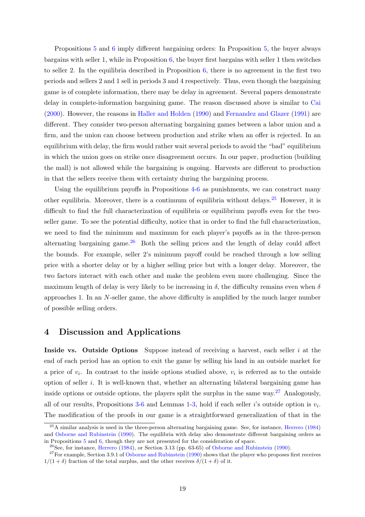Propositions [5](#page-17-1) and [6](#page-17-0) imply different bargaining orders: In Proposition [5,](#page-17-1) the buyer always bargains with seller 1, while in Proposition [6,](#page-17-0) the buyer first bargains with seller 1 then switches to seller 2. In the equilibria described in Proposition [6,](#page-17-0) there is no agreement in the first two periods and sellers 2 and 1 sell in periods 3 and 4 respectively. Thus, even though the bargaining game is of complete information, there may be delay in agreement. Several papers demonstrate delay in complete-information bargaining game. The reason discussed above is similar to [Cai](#page-21-3) [\(2000\)](#page-21-3). However, the reasons in [Haller and Holden](#page-21-12) [\(1990\)](#page-21-12) and [Fernandez and Glazer](#page-21-13) [\(1991\)](#page-21-13) are different. They consider two-person alternating bargaining games between a labor union and a firm, and the union can choose between production and strike when an offer is rejected. In an equilibrium with delay, the firm would rather wait several periods to avoid the "bad" equilibrium in which the union goes on strike once disagreement occurs. In our paper, production (building the mall) is not allowed while the bargaining is ongoing. Harvests are different to production in that the sellers receive them with certainty during the bargaining process.

Using the equilibrium payoffs in Propositions [4-](#page-11-0)[6](#page-17-0) as punishments, we can construct many other equilibria. Moreover, there is a continuum of equilibria without delays.[25](#page-18-1) However, it is difficult to find the full characterization of equilibria or equilibrium payoffs even for the twoseller game. To see the potential difficulty, notice that in order to find the full characterization, we need to find the minimum and maximum for each player's payoffs as in the three-person alternating bargaining game. $\frac{26}{5}$  $\frac{26}{5}$  $\frac{26}{5}$  Both the selling prices and the length of delay could affect the bounds. For example, seller 2's minimum payoff could be reached through a low selling price with a shorter delay or by a higher selling price but with a longer delay. Moreover, the two factors interact with each other and make the problem even more challenging. Since the maximum length of delay is very likely to be increasing in  $\delta$ , the difficulty remains even when  $\delta$ approaches 1. In an N-seller game, the above difficulty is amplified by the much larger number of possible selling orders.

# <span id="page-18-0"></span>4 Discussion and Applications

Inside vs. Outside Options Suppose instead of receiving a harvest, each seller  $i$  at the end of each period has an option to exit the game by selling his land in an outside market for a price of  $v_i$ . In contrast to the inside options studied above,  $v_i$  is referred as to the outside option of seller  $i$ . It is well-known that, whether an alternating bilateral bargaining game has inside options or outside options, the players split the surplus in the same way.[27](#page-18-3) Analogously, all of our results, Propositions [3](#page-9-4)[-6](#page-17-0) and Lemmas [1-](#page-10-0)[3,](#page-25-0) hold if each seller i's outside option is  $v_i$ . The modification of the proofs in our game is a straightforward generalization of that in the

<span id="page-18-1"></span> $^{25}$ A similar analysis is used in the three-person alternating bargaining game. See, for instance, [Herrero](#page-21-14) [\(1984\)](#page-21-14) and [Osborne and Rubinstein](#page-22-12) [\(1990\)](#page-22-12). The equilibria with delay also demonstrate different bargaining orders as in Propositions [5](#page-17-1) and [6,](#page-17-0) though they are not presented for the consideration of space.

<span id="page-18-3"></span><span id="page-18-2"></span> $^{26}$ See, for instance, [Herrero](#page-21-14) [\(1984\)](#page-21-14), or Section 3.13 (pp. 63-65) of [Osborne and Rubinstein](#page-22-12) [\(1990\)](#page-22-12).

 $27$  For example, Section 3.9.1 of [Osborne and Rubinstein](#page-22-12) [\(1990\)](#page-22-12) shows that the player who proposes first receives  $1/(1+\delta)$  fraction of the total surplus, and the other receives  $\delta/(1+\delta)$  of it.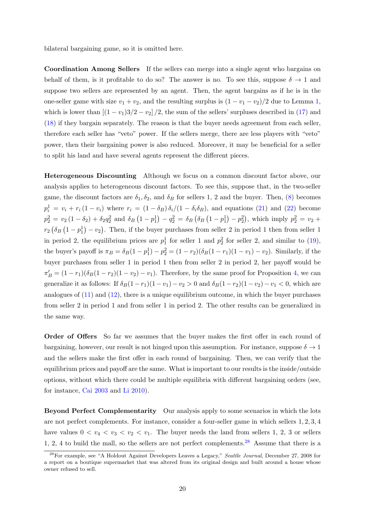bilateral bargaining game, so it is omitted here.

Coordination Among Sellers If the sellers can merge into a single agent who bargains on behalf of them, is it profitable to do so? The answer is no. To see this, suppose  $\delta \to 1$  and suppose two sellers are represented by an agent. Then, the agent bargains as if he is in the one-seller game with size  $v_1 + v_2$ , and the resulting surplus is  $(1 - v_1 - v_2)/2$  due to Lemma [1,](#page-10-0) which is lower than  $[(1 - v_1)3/2 - v_2]/2$ , the sum of the sellers' surpluses described in [\(17\)](#page-12-3) and [\(18\)](#page-12-4) if they bargain separately. The reason is that the buyer needs agreement from each seller, therefore each seller has "veto" power. If the sellers merge, there are less players with "veto" power, then their bargaining power is also reduced. Moreover, it may be beneficial for a seller to split his land and have several agents represent the different pieces.

Heterogeneous Discounting Although we focus on a common discount factor above, our analysis applies to heterogeneous discount factors. To see this, suppose that, in the two-seller game, the discount factors are  $\delta_1, \delta_2$ , and  $\delta_B$  for sellers 1, 2 and the buyer. Then, [\(8\)](#page-10-2) becomes  $p_i^1 = v_i + r_i (1 - v_i)$  where  $r_i = (1 - \delta_B) \delta_i / (1 - \delta_i \delta_B)$ , and equations [\(21\)](#page-12-1) and [\(22\)](#page-12-1) become  $p_2^2 = v_2 (1 - \delta_2) + \delta_2 q_2^2$  and  $\delta_B (1 - p_1^1) - q_2^2 = \delta_B (\delta_B (1 - p_1^1) - p_2^2)$ , which imply  $p_2^2 = v_2 + p_1^2$  $r_2(\delta_B(1-p_1^1)-v_2)$ . Then, if the buyer purchases from seller 2 in period 1 then from seller 1 in period 2, the equilibrium prices are  $p_1^1$  for seller 1 and  $p_2^2$  for seller 2, and similar to [\(19\)](#page-12-2), the buyer's payoff is  $\pi_B = \delta_B(1-p_1^1) - p_2^2 = (1-r_2)(\delta_B(1-r_1)(1-v_1) - v_2)$ . Similarly, if the buyer purchases from seller 1 in period 1 then from seller 2 in period 2, her payoff would be  $\pi'_B = (1 - r_1)(\delta_B(1 - r_2)(1 - v_2) - v_1)$ . Therefore, by the same proof for Proposition [4,](#page-11-0) we can generalize it as follows: If  $\delta_B(1-r_1)(1-v_1)-v_2>0$  and  $\delta_B(1-r_2)(1-v_2)-v_1<0$ , which are analogues of  $(11)$  and  $(12)$ , there is a unique equilibrium outcome, in which the buyer purchases from seller 2 in period 1 and from seller 1 in period 2. The other results can be generalized in the same way.

**Order of Offers** So far we assumes that the buyer makes the first offer in each round of bargaining, however, our result is not hinged upon this assumption. For instance, suppose  $\delta \to 1$ and the sellers make the first offer in each round of bargaining. Then, we can verify that the equilibrium prices and payoff are the same. What is important to our results is the inside/outside options, without which there could be multiple equilibria with different bargaining orders (see, for instance, [Cai](#page-21-10) [2003](#page-21-10) and [Li](#page-22-0) [2010\)](#page-22-0).

Beyond Perfect Complementarity Our analysis apply to some scenarios in which the lots are not perfect complements. For instance, consider a four-seller game in which sellers 1, 2, 3, 4 have values  $0 < v_4 < v_3 < v_2 < v_1$ . The buyer needs the land from sellers 1, 2, 3 or sellers 1, 2, 4 to build the mall, so the sellers are not perfect complements.<sup>[28](#page-19-0)</sup> Assume that there is a

<span id="page-19-0"></span><sup>&</sup>lt;sup>28</sup>For example, see "A Holdout Against Developers Leaves a Legacy," Seattle Journal, December 27, 2008 for a report on a boutique supermarket that was altered from its original design and built around a house whose owner refused to sell.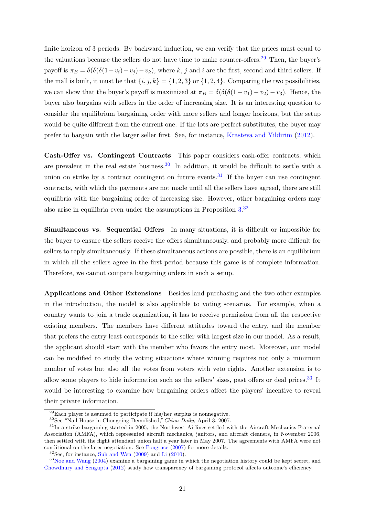finite horizon of 3 periods. By backward induction, we can verify that the prices must equal to the valuations because the sellers do not have time to make counter-offers.<sup>[29](#page-20-0)</sup> Then, the buyer's payoff is  $\pi_B = \delta(\delta(\delta(1-v_i)-v_i)-v_k)$ , where k, j and i are the first, second and third sellers. If the mall is built, it must be that  $\{i, j, k\} = \{1, 2, 3\}$  or  $\{1, 2, 4\}$ . Comparing the two possibilities, we can show that the buyer's payoff is maximized at  $\pi_B = \delta(\delta(\delta(1 - v_1) - v_2) - v_3)$ . Hence, the buyer also bargains with sellers in the order of increasing size. It is an interesting question to consider the equilibrium bargaining order with more sellers and longer horizons, but the setup would be quite different from the current one. If the lots are perfect substitutes, the buyer may prefer to bargain with the larger seller first. See, for instance, [Krasteva and Yildirim](#page-21-5) [\(2012\)](#page-21-5).

Cash-Offer vs. Contingent Contracts This paper considers cash-offer contracts, which are prevalent in the real estate business.<sup>[30](#page-20-1)</sup> In addition, it would be difficult to settle with a union on strike by a contract contingent on future events.<sup>[31](#page-20-2)</sup> If the buyer can use contingent contracts, with which the payments are not made until all the sellers have agreed, there are still equilibria with the bargaining order of increasing size. However, other bargaining orders may also arise in equilibria even under the assumptions in Proposition  $3.32$  $3.32$ 

Simultaneous vs. Sequential Offers In many situations, it is difficult or impossible for the buyer to ensure the sellers receive the offers simultaneously, and probably more difficult for sellers to reply simultaneously. If these simultaneous actions are possible, there is an equilibrium in which all the sellers agree in the first period because this game is of complete information. Therefore, we cannot compare bargaining orders in such a setup.

Applications and Other Extensions Besides land purchasing and the two other examples in the introduction, the model is also applicable to voting scenarios. For example, when a country wants to join a trade organization, it has to receive permission from all the respective existing members. The members have different attitudes toward the entry, and the member that prefers the entry least corresponds to the seller with largest size in our model. As a result, the applicant should start with the member who favors the entry most. Moreover, our model can be modified to study the voting situations where winning requires not only a minimum number of votes but also all the votes from voters with veto rights. Another extension is to allow some players to hide information such as the sellers' sizes, past offers or deal prices.<sup>[33](#page-20-4)</sup> It would be interesting to examine how bargaining orders affect the players' incentive to reveal their private information.

<span id="page-20-4"></span><span id="page-20-3"></span> $32$ See, for instance, [Suh and Wen](#page-22-14)  $(2009)$  and [Li](#page-22-0)  $(2010)$ .

<span id="page-20-0"></span> $^{29}$ Each player is assumed to participate if his/her surplus is nonnegative.

<span id="page-20-2"></span><span id="page-20-1"></span><sup>&</sup>lt;sup>30</sup>See "Nail House in Chongqing Demolished," China Daily, April 3, 2007.

<sup>&</sup>lt;sup>31</sup>In a strike bargaining started in 2005, the Northwest Airlines settled with the Aircraft Mechanics Fraternal Association (AMFA), which represented aircraft mechanics, janitors, and aircraft cleaners, in November 2006, then settled with the flight attendant union half a year later in May 2007. The agreements with AMFA were not conditional on the later negotiation. See [Pongrace](#page-22-13) [\(2007\)](#page-22-13) for more details.

<sup>&</sup>lt;sup>33</sup>[Noe and Wang](#page-22-5) [\(2004\)](#page-22-5) examine a bargaining game in which the negotiation history could be kept secret, and [Chowdhury and Sengupta](#page-21-8) [\(2012\)](#page-21-8) study how transparency of bargaining protocol affects outcome's efficiency.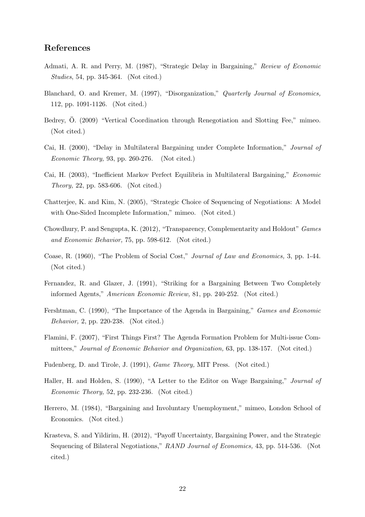# References

- <span id="page-21-0"></span>Admati, A. R. and Perry, M. (1987), "Strategic Delay in Bargaining," Review of Economic Studies, 54, pp. 345-364. (Not cited.)
- <span id="page-21-1"></span>Blanchard, O. and Kremer, M. (1997), "Disorganization," Quarterly Journal of Economics, 112, pp. 1091-1126. (Not cited.)
- <span id="page-21-2"></span>Bedrey, Ö. (2009) "Vertical Coordination through Renegotiation and Slotting Fee," mimeo. (Not cited.)
- <span id="page-21-3"></span>Cai, H. (2000), "Delay in Multilateral Bargaining under Complete Information," Journal of Economic Theory, 93, pp. 260-276. (Not cited.)
- <span id="page-21-10"></span>Cai, H. (2003), "Inefficient Markov Perfect Equilibria in Multilateral Bargaining," Economic Theory, 22, pp. 583-606. (Not cited.)
- <span id="page-21-4"></span>Chatterjee, K. and Kim, N. (2005), "Strategic Choice of Sequencing of Negotiations: A Model with One-Sided Incomplete Information," mimeo. (Not cited.)
- <span id="page-21-8"></span>Chowdhury, P. and Sengupta, K. (2012), "Transparency, Complementarity and Holdout" Games and Economic Behavior, 75, pp. 598-612. (Not cited.)
- <span id="page-21-9"></span>Coase, R. (1960), "The Problem of Social Cost," Journal of Law and Economics, 3, pp. 1-44. (Not cited.)
- <span id="page-21-13"></span>Fernandez, R. and Glazer, J. (1991), "Striking for a Bargaining Between Two Completely informed Agents," American Economic Review, 81, pp. 240-252. (Not cited.)
- <span id="page-21-6"></span>Fershtman, C. (1990), "The Importance of the Agenda in Bargaining," Games and Economic Behavior, 2, pp. 220-238. (Not cited.)
- <span id="page-21-7"></span>Flamini, F. (2007), "First Things First? The Agenda Formation Problem for Multi-issue Committees," Journal of Economic Behavior and Organization, 63, pp. 138-157. (Not cited.)
- <span id="page-21-11"></span>Fudenberg, D. and Tirole, J. (1991), Game Theory, MIT Press. (Not cited.)
- <span id="page-21-12"></span>Haller, H. and Holden, S. (1990), "A Letter to the Editor on Wage Bargaining," Journal of Economic Theory, 52, pp. 232-236. (Not cited.)
- <span id="page-21-14"></span>Herrero, M. (1984), "Bargaining and Involuntary Unemployment," mimeo, London School of Economics. (Not cited.)
- <span id="page-21-5"></span>Krasteva, S. and Yildirim, H. (2012), "Payoff Uncertainty, Bargaining Power, and the Strategic Sequencing of Bilateral Negotiations," RAND Journal of Economics, 43, pp. 514-536. (Not cited.)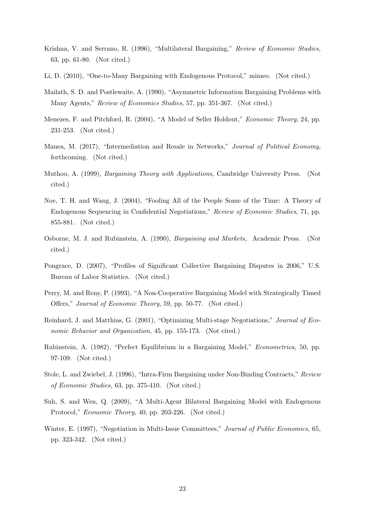- <span id="page-22-11"></span>Krishna, V. and Serrano, R. (1996), "Multilateral Bargaining," Review of Economic Studies, 63, pp. 61-80. (Not cited.)
- <span id="page-22-0"></span>Li, D. (2010), "One-to-Many Bargaining with Endogenous Protocol," mimeo. (Not cited.)
- <span id="page-22-9"></span>Mailath, S. D. and Postlewaite, A. (1990), "Asymmetric Information Bargaining Problems with Many Agents," Review of Economics Studies, 57, pp. 351-367. (Not cited.)
- <span id="page-22-10"></span>Menezes, F. and Pitchford, R. (2004), "A Model of Seller Holdout," Economic Theory, 24, pp. 231-253. (Not cited.)
- <span id="page-22-1"></span>Manea, M. (2017), "Intermediation and Resale in Networks," Journal of Political Economy, forthcoming. (Not cited.)
- <span id="page-22-2"></span>Muthoo, A. (1999), Bargaining Theory with Applications, Cambridge University Press. (Not cited.)
- <span id="page-22-5"></span>Noe, T. H. and Wang, J. (2004), "Fooling All of the People Some of the Time: A Theory of Endogenous Sequencing in Confidential Negotiations," Review of Economic Studies, 71, pp. 855-881. (Not cited.)
- <span id="page-22-12"></span>Osborne, M. J. and Rubinstein, A. (1990), Bargaining and Markets, Academic Press. (Not cited.)
- <span id="page-22-13"></span>Pongrace, D. (2007), "Profiles of Significant Collective Bargaining Disputes in 2006," U.S. Bureau of Labor Statistics. (Not cited.)
- <span id="page-22-3"></span>Perry, M. and Reny, P. (1993), "A Non-Cooperative Bargaining Model with Strategically Timed Offers," Journal of Economic Theory, 59, pp. 50-77. (Not cited.)
- <span id="page-22-8"></span>Reinhard, J. and Matthias, G. (2001), "Optimizing Multi-stage Negotiations," Journal of Economic Behavior and Organization, 45, pp. 155-173. (Not cited.)
- <span id="page-22-6"></span>Rubinstein, A. (1982), "Perfect Equilibrium in a Bargaining Model," Econometrica, 50, pp. 97-109. (Not cited.)
- <span id="page-22-4"></span>Stole, L. and Zwiebel, J. (1996), "Intra-Firm Bargaining under Non-Binding Contracts," Review of Economic Studies, 63, pp. 375-410. (Not cited.)
- <span id="page-22-14"></span>Suh, S. and Wen, Q. (2009), "A Multi-Agent Bilateral Bargaining Model with Endogenous Protocol," Economic Theory, 40, pp. 203-226. (Not cited.)
- <span id="page-22-7"></span>Winter, E. (1997), "Negotiation in Multi-Issue Committees," Journal of Public Economics, 65, pp. 323-342. (Not cited.)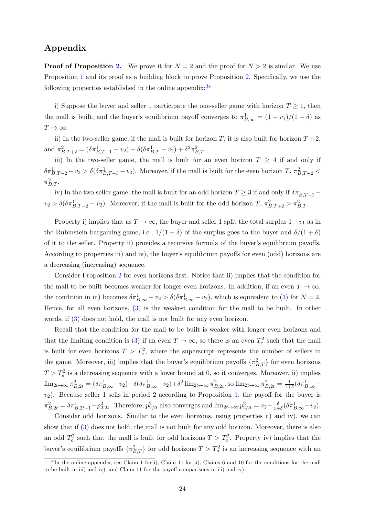# Appendix

**Proof of Proposition [2.](#page-6-3)** We prove it for  $N = 2$  and the proof for  $N > 2$  is similar. We use Proposition [1](#page-6-1) and its proof as a building block to prove Proposition [2.](#page-6-3) Specifically, we use the following properties established in the online appendix: $34$ 

i) Suppose the buyer and seller 1 participate the one-seller game with horizon  $T \geq 1$ , then the mall is built, and the buyer's equilibrium payoff converges to  $\pi_{B,\infty}^1 = (1 - v_1)/(1 + \delta)$  as  $T\rightarrow\infty.$ 

ii) In the two-seller game, if the mall is built for horizon T, it is also built for horizon  $T + 2$ , and  $\pi^2_{B,T+2} = (\delta \pi^1_{B,T+1} - v_2) - \delta (\delta \pi^1_{B,T} - v_2) + \delta^2 \pi^2_{B,T}$ .

iii) In the two-seller game, the mall is built for an even horizon  $T \geq 4$  if and only if  $\delta \pi_{B,T-2}^1 - v_2 > \delta(\delta \pi_{B,T-3}^1 - v_2)$ . Moreover, if the mall is built for the even horizon  $T, \pi_{B,T+2}^2 <$  $\pi^2_{B,T}$ .

iv) In the two-seller game, the mall is built for an odd horizon  $T \geq 3$  if and only if  $\delta \pi^1_{B,T-1}$  $v_2 > \delta(\delta \pi_{B,T-2}^1 - v_2)$ . Moreover, if the mall is built for the odd horizon  $T$ ,  $\pi_{B,T+2}^2 > \pi_{B,T}^2$ .

Property i) implies that as  $T \to \infty$ , the buyer and seller 1 split the total surplus  $1 - v_1$  as in the Rubinstein bargaining game, i.e.,  $1/(1 + \delta)$  of the surplus goes to the buyer and  $\delta/(1 + \delta)$ of it to the seller. Property ii) provides a recursive formula of the buyer's equilibrium payoffs. According to properties iii) and iv), the buyer's equilibrium payoffs for even (odd) horizons are a decreasing (increasing) sequence.

Consider Proposition [2](#page-6-3) for even horizons first. Notice that ii) implies that the condition for the mall to be built becomes weaker for longer even horizons. In addition, if an even  $T \to \infty$ , the condition in iii) becomes  $\delta \pi_{B,\infty}^1 - v_2 > \delta(\delta \pi_{B,\infty}^1 - v_2)$ , which is equivalent to [\(3\)](#page-6-4) for  $N = 2$ . Hence, for all even horizons, [\(3\)](#page-6-4) is the weakest condition for the mall to be built. In other words, if [\(3\)](#page-6-4) does not hold, the mall is not built for any even horizon.

Recall that the condition for the mall to be built is weaker with longer even horizons and that the limiting condition is [\(3\)](#page-6-4) if an even  $T \to \infty$ , so there is an even  $T_e^2$  such that the mall is built for even horizons  $T > T_e^2$ , where the superscript represents the number of sellers in the game. Moreover, iii) implies that the buyer's equilibrium payoffs  $\{\pi^2_{B,T}\}$  for even horizons  $T > T_e^2$  is a decreasing sequence with a lower bound at 0, so it converges. Moreover, ii) implies  $\lim_{2t\to\infty} \pi_{B,2t}^2 = (\delta \pi_{B,\infty}^1 - v_2) - \delta(\delta \pi_{B,\infty}^1 - v_2) + \delta^2 \lim_{2t\to\infty} \pi_{B,2t}^2$ , so  $\lim_{2t\to\infty} \pi_{B,2t}^2 = \frac{1}{1+t}$  $\frac{1}{1+\delta}(\delta \pi_{B,\infty}^1$  $v_2$ ). Because seller 1 sells in period 2 according to Proposition [1,](#page-6-1) the payoff for the buyer is  $\pi_{B,2t}^2 = \delta \pi_{B,2t-1}^1 - p_{2,2t}^2$ . Therefore,  $p_{2,2t}^2$  also converges and  $\lim_{2t \to \infty} p_{2,2t}^2 = v_2 + \frac{\delta}{1+t}$  $\frac{\delta}{1+\delta}(\delta \pi_{B,\infty}^1-v_2).$ 

Consider odd horizons. Similar to the even horizons, using properties ii) and iv), we can show that if [\(3\)](#page-6-4) does not hold, the mall is not built for any odd horizon. Moreover, there is also an odd  $T_o^2$  such that the mall is built for odd horizons  $T > T_o^2$ . Property iv) implies that the buyer's equilibrium payoffs  $\{\pi^2_{B,T}\}$  for odd horizons  $T>T_o^2$  is an increasing sequence with an

<span id="page-23-0"></span><sup>&</sup>lt;sup>34</sup>In the online appendix, see Claim 1 for i), Claim 11 for ii), Claims 6 and 10 for the conditions for the mall to be built in iii) and iv), and Claim 11 for the payoff comparisons in iii) and iv).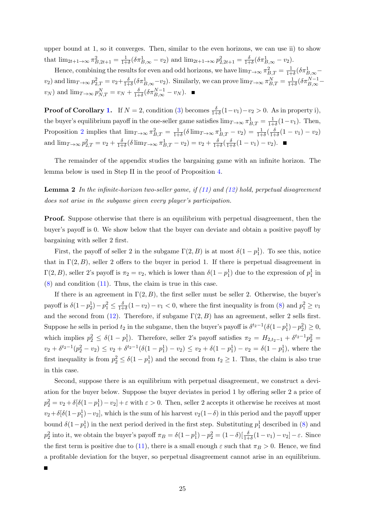upper bound at 1, so it converges. Then, similar to the even horizons, we can use ii) to show that  $\lim_{2t+1\to\infty} \pi_{B,2t+1}^2 = \frac{1}{1+1}$  $\frac{1}{1+\delta}(\delta \pi_{B,\infty}^1 - v_2)$  and  $\lim_{2t+1 \to \infty} p_{2,2t+1}^2 = \frac{\delta}{1+\delta}$  $\frac{\delta}{1+\delta}(\delta \pi_{B,\infty}^1 - v_2).$ 

Hence, combining the results for even and odd horizons, we have  $\lim_{T\to\infty} \pi_{B,T}^2 = \frac{1}{1+\epsilon}$  $\frac{1}{1+\delta}(\delta \pi_{B,\infty}^1$  $(v_2)$  and  $\lim_{T\to\infty} p_{2,T}^2 = v_2 + \frac{\delta}{1+1}$  $\frac{\delta}{1+\delta}(\delta \pi_{B,\infty}^1 - v_2)$ . Similarly, we can prove  $\lim_{T \to \infty} \pi_{B,T}^N = \frac{1}{1+\delta}$  $\frac{1}{1+\delta} \left( \delta \pi_{B,\infty}^{N-1} - \right.$  $(v_N)$  and  $\lim_{T\to\infty} p_{N,T}^N = v_N + \frac{\delta}{1+\delta}$  $\frac{\delta}{1+\delta}(\delta \pi_{B,\infty}^{N-1} - v_N).$ 

**Proof of Corollary [1.](#page-7-2)** If  $N = 2$ , condition [\(3\)](#page-6-4) becomes  $\frac{\delta}{1+\delta}(1-v_1)-v_2 > 0$ . As in property i), the buyer's equilibrium payoff in the one-seller game satisfies  $\lim_{T\to\infty} \pi_{B,T}^1 = \frac{1}{1+\epsilon}$  $\frac{1}{1+\delta}(1-v_1)$ . Then, Proposition [2](#page-6-3) implies that  $\lim_{T\to\infty} \pi_{B,T}^2 = \frac{1}{1+1}$  $\frac{1}{1+\delta}(\delta \lim_{T\to\infty} \pi^1_{B,T} - v_2) = \frac{1}{1+\delta}(\frac{\delta}{1+\delta})$  $\frac{\delta}{1+\delta}(1-v_1)-v_2)$ and  $\lim_{T\to\infty} p_{2,T}^2 = v_2 + \frac{\delta}{1+1}$  $\frac{\delta}{1+\delta}(\delta \lim_{T \to \infty} \pi_{B,T}^1 - v_2) = v_2 + \frac{\delta}{1+\delta}$  $\frac{\delta}{1+\delta}(\frac{\delta}{1+\delta}$  $\frac{\delta}{1+\delta}(1-v_1)-v_2).$ 

The remainder of the appendix studies the bargaining game with an infinite horizon. The lemma below is used in Step II in the proof of Proposition [4.](#page-11-0)

<span id="page-24-0"></span>**Lemma 2** In the infinite-horizon two-seller game, if  $(11)$  and  $(12)$  hold, perpetual disagreement does not arise in the subgame given every player's participation.

Proof. Suppose otherwise that there is an equilibrium with perpetual disagreement, then the buyer's payoff is 0. We show below that the buyer can deviate and obtain a positive payoff by bargaining with seller 2 first.

First, the payoff of seller 2 in the subgame  $\Gamma(2, B)$  is at most  $\delta(1-p_1^1)$ . To see this, notice that in  $\Gamma(2, B)$ , seller 2 offers to the buyer in period 1. If there is perpetual disagreement in  $\Gamma(2, B)$ , seller 2's payoff is  $\pi_2 = v_2$ , which is lower than  $\delta(1-p_1^1)$  due to the expression of  $p_1^1$  in [\(8\)](#page-10-2) and condition [\(11\)](#page-11-1). Thus, the claim is true in this case.

If there is an agreement in  $\Gamma(2, B)$ , the first seller must be seller 2. Otherwise, the buyer's payoff is  $\delta(1-p_2^1)-p_1^2 \leq \frac{\delta}{1+1}$  $\frac{\delta}{1+\delta}(1-v_2)-v_1 < 0$ , where the first inequality is from [\(8\)](#page-10-2) and  $p_1^2 \ge v_1$ and the second from [\(12\)](#page-11-2). Therefore, if subgame  $\Gamma(2, B)$  has an agreement, seller 2 sells first. Suppose he sells in period  $t_2$  in the subgame, then the buyer's payoff is  $\delta^{t_2-1}(\delta(1-p_1^1)-p_2^2) \geq 0$ , which implies  $p_2^2 \leq \delta(1-p_1^1)$ . Therefore, seller 2's payoff satisfies  $\pi_2 = H_{2,t_2-1} + \delta^{t_2-1}p_2^2$  $v_2 + \delta^{t_2-1}(p_2^2 - v_2) \le v_2 + \delta^{t_2-1}(\delta(1-p_1^1) - v_2) \le v_2 + \delta(1-p_1^1) - v_2 = \delta(1-p_1^1)$ , where the first inequality is from  $p_2^2 \le \delta(1-p_1^1)$  and the second from  $t_2 \ge 1$ . Thus, the claim is also true in this case.

Second, suppose there is an equilibrium with perpetual disagreement, we construct a deviation for the buyer below. Suppose the buyer deviates in period 1 by offering seller 2 a price of  $p_2^2 = v_2 + \delta[\delta(1-p_1^1) - v_2] + \varepsilon$  with  $\varepsilon > 0$ . Then, seller 2 accepts it otherwise he receives at most  $v_2+\delta[\delta(1-p_1^1)-v_2]$ , which is the sum of his harvest  $v_2(1-\delta)$  in this period and the payoff upper bound  $\delta(1-p_1^1)$  in the next period derived in the first step. Substituting  $p_1^1$  described in [\(8\)](#page-10-2) and  $p_2^2$  into it, we obtain the buyer's payoff  $\pi_B = \delta(1-p_1^1) - p_2^2 = (1-\delta)[\frac{\delta}{1+\delta}(1-v_1)-v_2] - \varepsilon$ . Since the first term is positive due to [\(11\)](#page-11-1), there is a small enough  $\varepsilon$  such that  $\pi_B > 0$ . Hence, we find a profitable deviation for the buyer, so perpetual disagreement cannot arise in an equilibrium.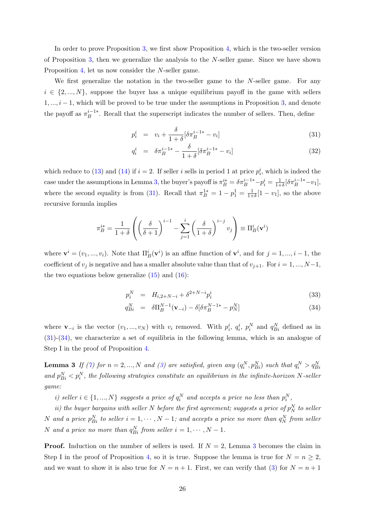In order to prove Proposition [3,](#page-9-4) we first show Proposition [4,](#page-11-0) which is the two-seller version of Proposition [3,](#page-9-4) then we generalize the analysis to the N-seller game. Since we have shown Proposition [4,](#page-11-0) let us now consider the N-seller game.

We first generalize the notation in the two-seller game to the N-seller game. For any  $i \in \{2, ..., N\}$ , suppose the buyer has a unique equilibrium payoff in the game with sellers  $1, ..., i - 1$ , which will be proved to be true under the assumptions in Proposition [3,](#page-9-4) and denote the payoff as  $\pi_B^{i-1*}$  $B_B^{n-1*}$ . Recall that the superscript indicates the number of sellers. Then, define

<span id="page-25-1"></span>
$$
p_i^i = v_i + \frac{\delta}{1+\delta} [\delta \pi_B^{i-1*} - v_i]
$$
\n(31)

$$
q_i^i = \delta \pi_B^{i-1*} - \frac{\delta}{1+\delta} [\delta \pi_B^{i-1*} - v_i]
$$
 (32)

which reduce to [\(13\)](#page-11-3) and [\(14\)](#page-11-3) if  $i = 2$ . If seller i sells in period 1 at price  $p_i^i$ , which is indeed the case under the assumptions in Lemma [3,](#page-25-0) the buyer's payoff is  $\pi_B^{i*} = \delta \pi_B^{i-1*} - p_i^i = \frac{1}{1+i}$  $\frac{1}{1+\delta}[\delta \pi_B^{i-1*} - v_1],$ where the second equality is from [\(31\)](#page-25-1). Recall that  $\pi_B^{1*} = 1 - p_1^1 = \frac{1}{1+1}$  $\frac{1}{1+\delta}[1-v_1]$ , so the above recursive formula implies

<span id="page-25-2"></span>
$$
\pi_B^{i*} = \frac{1}{1+\delta} \left( \left( \frac{\delta}{\delta+1} \right)^{i-1} - \sum_{j=1}^i \left( \frac{\delta}{1+\delta} \right)^{i-j} v_j \right) \equiv \Pi_B^i(\mathbf{v}^i)
$$

where  $\mathbf{v}^i = (v_1, ..., v_i)$ . Note that  $\Pi_B^i(\mathbf{v}^i)$  is an affine function of  $\mathbf{v}^i$ , and for  $j = 1, ..., i - 1$ , the coefficient of  $v_j$  is negative and has a smaller absolute value than that of  $v_{j+1}$ . For  $i = 1, ..., N-1$ , the two equations below generalize  $(15)$  and  $(16)$ :

$$
p_i^N = H_{i,2+N-i} + \delta^{2+N-i} p_i^i \tag{33}
$$

<span id="page-25-0"></span>
$$
q_{Bi}^{N} = \delta \Pi_{B}^{N-1}(\mathbf{v}_{-i}) - \delta [\delta \pi_{B}^{N-1*} - p_{N}^{N}] \qquad (34)
$$

where  $\mathbf{v}_{-i}$  is the vector  $(v_1, ..., v_N)$  with  $v_i$  removed. With  $p_i^i, q_i^i, p_i^N$  and  $q_{Bi}^N$  defined as in [\(31\)](#page-25-1)-[\(34\)](#page-25-2), we characterize a set of equilibria in the following lemma, which is an analogue of Step I in the proof of Proposition [4.](#page-11-0)

**Lemma 3** If [\(7\)](#page-9-2) for  $n = 2, ..., N$  and [\(3\)](#page-6-4) are satisfied, given any  $(q_i^N, p_{Bi}^N)$  such that  $q_i^N > q_{Bi}^N$ and  $p_{Bi}^N$   $\langle p_i^N$ , the following strategies constitute an equilibrium in the infinite-horizon N-seller game:

i) seller  $i \in \{1, ..., N\}$  suggests a price of  $q_i^N$  and accepts a price no less than  $p_i^N$ ,

ii) the buyer bargains with seller N before the first agreement; suggests a price of  $p_N^N$  to seller N and a price  $p_{Bi}^N$  to seller  $i = 1, \dots, N - 1$ ; and accepts a price no more than  $q_N^N$  from seller N and a price no more than  $q_{Bi}^N$  from seller  $i = 1, \dots, N - 1$ .

**Proof.** Induction on the number of sellers is used. If  $N = 2$ , Lemma [3](#page-25-0) becomes the claim in Step I in the proof of Proposition [4,](#page-11-0) so it is true. Suppose the lemma is true for  $N = n \geq 2$ , and we want to show it is also true for  $N = n + 1$ . First, we can verify that [\(3\)](#page-6-4) for  $N = n + 1$